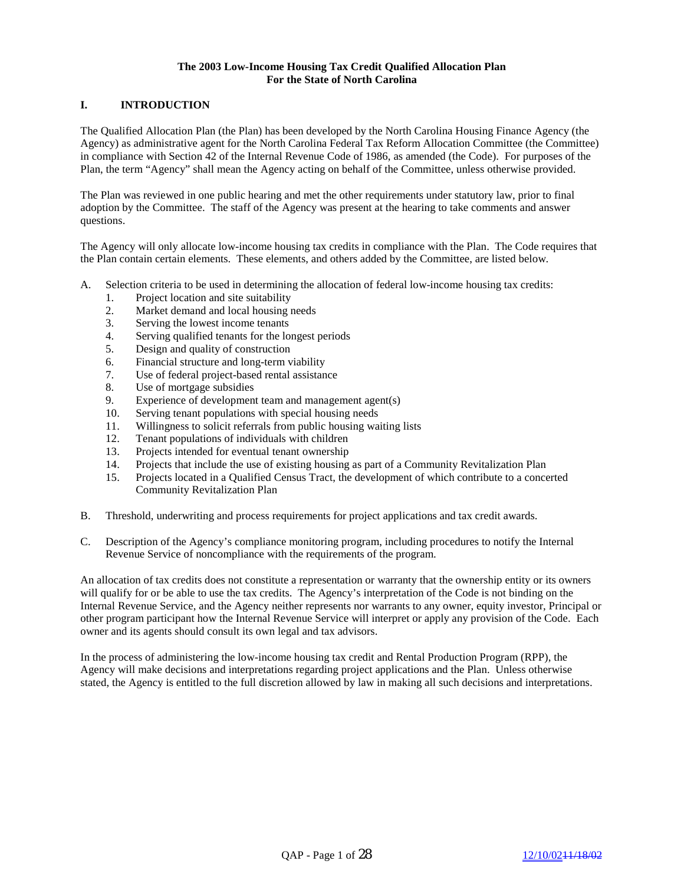## **The 2003 Low-Income Housing Tax Credit Qualified Allocation Plan For the State of North Carolina**

# **I. INTRODUCTION**

The Qualified Allocation Plan (the Plan) has been developed by the North Carolina Housing Finance Agency (the Agency) as administrative agent for the North Carolina Federal Tax Reform Allocation Committee (the Committee) in compliance with Section 42 of the Internal Revenue Code of 1986, as amended (the Code). For purposes of the Plan, the term "Agency" shall mean the Agency acting on behalf of the Committee, unless otherwise provided.

The Plan was reviewed in one public hearing and met the other requirements under statutory law, prior to final adoption by the Committee. The staff of the Agency was present at the hearing to take comments and answer questions.

The Agency will only allocate low-income housing tax credits in compliance with the Plan. The Code requires that the Plan contain certain elements. These elements, and others added by the Committee, are listed below.

- A. Selection criteria to be used in determining the allocation of federal low-income housing tax credits:
	- 1. Project location and site suitability
	- 2. Market demand and local housing needs
	- 3. Serving the lowest income tenants
	- 4. Serving qualified tenants for the longest periods
	- 5. Design and quality of construction
	- 6. Financial structure and long-term viability
	- 7. Use of federal project-based rental assistance
	- 8. Use of mortgage subsidies
	- 9. Experience of development team and management agent(s)
	- 10. Serving tenant populations with special housing needs
	- 11. Willingness to solicit referrals from public housing waiting lists
	- 12. Tenant populations of individuals with children
	- 13. Projects intended for eventual tenant ownership
	- 14. Projects that include the use of existing housing as part of a Community Revitalization Plan
	- 15. Projects located in a Qualified Census Tract, the development of which contribute to a concerted Community Revitalization Plan
- B. Threshold, underwriting and process requirements for project applications and tax credit awards.
- C. Description of the Agency's compliance monitoring program, including procedures to notify the Internal Revenue Service of noncompliance with the requirements of the program.

An allocation of tax credits does not constitute a representation or warranty that the ownership entity or its owners will qualify for or be able to use the tax credits. The Agency's interpretation of the Code is not binding on the Internal Revenue Service, and the Agency neither represents nor warrants to any owner, equity investor, Principal or other program participant how the Internal Revenue Service will interpret or apply any provision of the Code. Each owner and its agents should consult its own legal and tax advisors.

In the process of administering the low-income housing tax credit and Rental Production Program (RPP), the Agency will make decisions and interpretations regarding project applications and the Plan. Unless otherwise stated, the Agency is entitled to the full discretion allowed by law in making all such decisions and interpretations.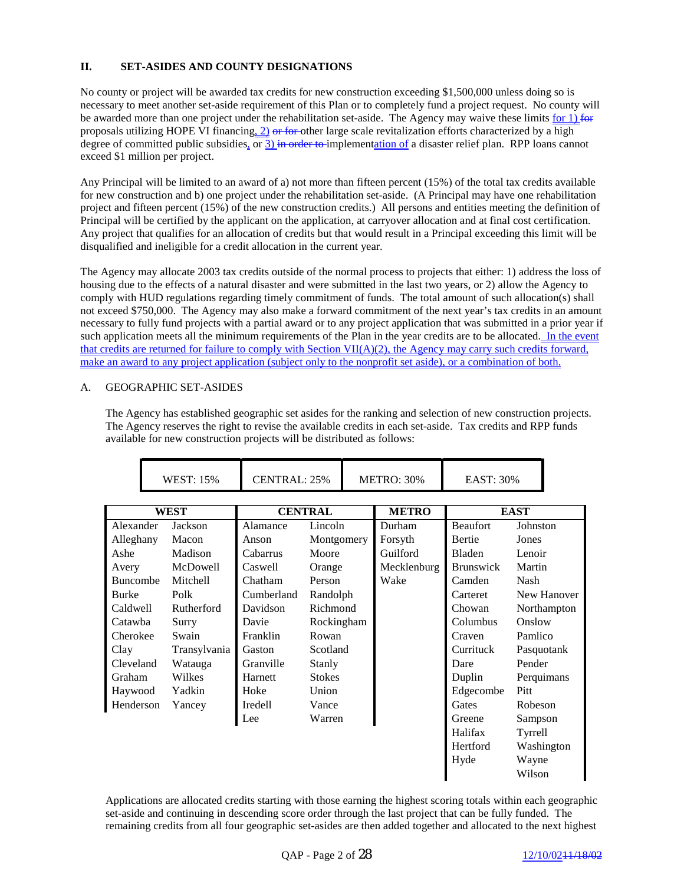# **II. SET-ASIDES AND COUNTY DESIGNATIONS**

No county or project will be awarded tax credits for new construction exceeding \$1,500,000 unless doing so is necessary to meet another set-aside requirement of this Plan or to completely fund a project request. No county will be awarded more than one project under the rehabilitation set-aside. The Agency may waive these limits for 1) for proposals utilizing HOPE VI financing, 2) or for other large scale revitalization efforts characterized by a high degree of committed public subsidies, or 3) in order to implementation of a disaster relief plan. RPP loans cannot exceed \$1 million per project.

Any Principal will be limited to an award of a) not more than fifteen percent (15%) of the total tax credits available for new construction and b) one project under the rehabilitation set-aside. (A Principal may have one rehabilitation project and fifteen percent (15%) of the new construction credits.) All persons and entities meeting the definition of Principal will be certified by the applicant on the application, at carryover allocation and at final cost certification. Any project that qualifies for an allocation of credits but that would result in a Principal exceeding this limit will be disqualified and ineligible for a credit allocation in the current year.

The Agency may allocate 2003 tax credits outside of the normal process to projects that either: 1) address the loss of housing due to the effects of a natural disaster and were submitted in the last two years, or 2) allow the Agency to comply with HUD regulations regarding timely commitment of funds. The total amount of such allocation(s) shall not exceed \$750,000. The Agency may also make a forward commitment of the next year's tax credits in an amount necessary to fully fund projects with a partial award or to any project application that was submitted in a prior year if such application meets all the minimum requirements of the Plan in the year credits are to be allocated. In the event that credits are returned for failure to comply with Section VII(A)(2), the Agency may carry such credits forward, make an award to any project application (subject only to the nonprofit set aside), or a combination of both.

## A. GEOGRAPHIC SET-ASIDES

The Agency has established geographic set asides for the ranking and selection of new construction projects. The Agency reserves the right to revise the available credits in each set-aside. Tax credits and RPP funds available for new construction projects will be distributed as follows:

|                 | <b>WEST: 15%</b> |              | CENTRAL: 25%                   |               | <b>METRO: 30%</b> |             | EAST: 30%        |             |             |  |
|-----------------|------------------|--------------|--------------------------------|---------------|-------------------|-------------|------------------|-------------|-------------|--|
| <b>WEST</b>     |                  |              | <b>METRO</b><br><b>CENTRAL</b> |               |                   |             |                  | <b>EAST</b> |             |  |
| Alexander       |                  | Jackson      | Alamance                       | Lincoln       |                   | Durham      | <b>Beaufort</b>  | Johnston    |             |  |
| Alleghany       |                  | Macon        | Anson                          | Montgomery    |                   | Forsyth     | <b>Bertie</b>    | Jones       |             |  |
| Ashe            |                  | Madison      | Cabarrus                       | Moore         |                   | Guilford    | <b>Bladen</b>    | Lenoir      |             |  |
| Avery           |                  | McDowell     | Caswell                        | Orange        |                   | Mecklenburg | <b>Brunswick</b> | Martin      |             |  |
| <b>Buncombe</b> |                  | Mitchell     | Chatham                        | Person        |                   | Wake        | Camden           | <b>Nash</b> |             |  |
| <b>Burke</b>    |                  | Polk         | Cumberland                     | Randolph      |                   |             | Carteret         |             | New Hanover |  |
| Caldwell        |                  | Rutherford   | Davidson                       | Richmond      |                   |             | Chowan           |             | Northampton |  |
| Catawha         |                  | Surry        | Davie                          | Rockingham    |                   |             | Columbus         | Onslow      |             |  |
| Cherokee        |                  | Swain        | Franklin                       | Rowan         |                   |             | Craven           | Pamlico     |             |  |
| Clay            |                  | Transylvania | Gaston                         | Scotland      |                   |             | Currituck        |             | Pasquotank  |  |
| Cleveland       |                  | Watauga      | Granville                      | Stanly        |                   |             | Dare             | Pender      |             |  |
| Graham          |                  | Wilkes       | Harnett                        | <b>Stokes</b> |                   |             | Duplin           |             | Perquimans  |  |
| Haywood         |                  | Yadkin       | Hoke                           | Union         |                   |             | Edgecombe        | Pitt        |             |  |
| Henderson       |                  | Yancey       | <b>Iredell</b>                 | Vance         |                   |             | Gates            | Robeson     |             |  |
|                 |                  |              | Lee                            | Warren        |                   |             | Greene           | Sampson     |             |  |
|                 |                  |              |                                |               |                   |             | Halifax          | Tyrrell     |             |  |
|                 |                  |              |                                |               |                   |             | Hertford         |             | Washington  |  |
|                 |                  |              |                                |               |                   |             | Hyde             | Wayne       |             |  |
|                 |                  |              |                                |               |                   |             |                  | Wilson      |             |  |

Applications are allocated credits starting with those earning the highest scoring totals within each geographic set-aside and continuing in descending score order through the last project that can be fully funded. The remaining credits from all four geographic set-asides are then added together and allocated to the next highest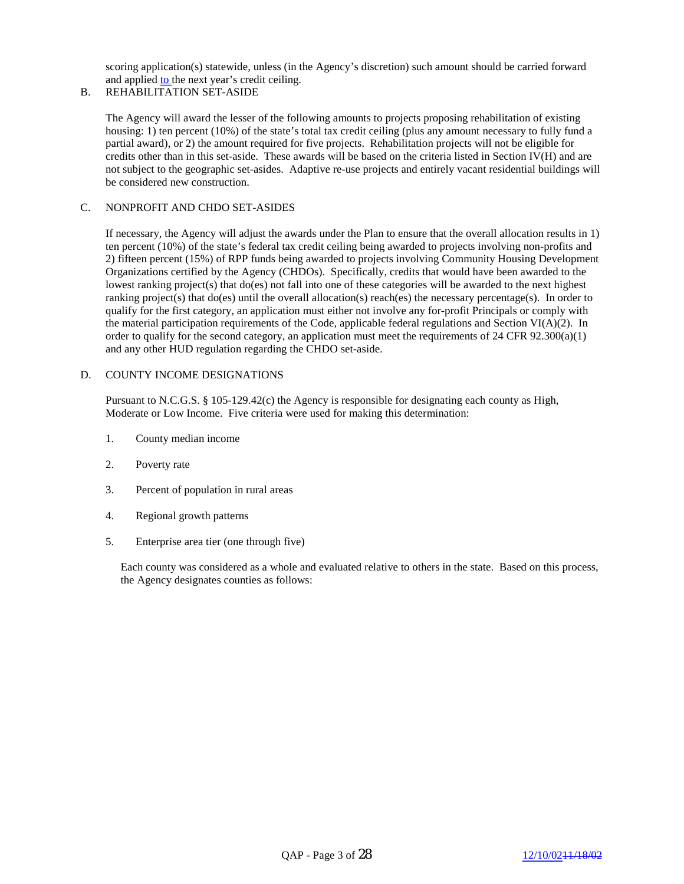scoring application(s) statewide, unless (in the Agency's discretion) such amount should be carried forward and applied to the next year's credit ceiling.

# B. REHABILITATION SET-ASIDE

The Agency will award the lesser of the following amounts to projects proposing rehabilitation of existing housing: 1) ten percent (10%) of the state's total tax credit ceiling (plus any amount necessary to fully fund a partial award), or 2) the amount required for five projects. Rehabilitation projects will not be eligible for credits other than in this set-aside. These awards will be based on the criteria listed in Section IV(H) and are not subject to the geographic set-asides. Adaptive re-use projects and entirely vacant residential buildings will be considered new construction.

#### C. NONPROFIT AND CHDO SET-ASIDES

If necessary, the Agency will adjust the awards under the Plan to ensure that the overall allocation results in 1) ten percent (10%) of the state's federal tax credit ceiling being awarded to projects involving non-profits and 2) fifteen percent (15%) of RPP funds being awarded to projects involving Community Housing Development Organizations certified by the Agency (CHDOs). Specifically, credits that would have been awarded to the lowest ranking project(s) that do(es) not fall into one of these categories will be awarded to the next highest ranking project(s) that do(es) until the overall allocation(s) reach(es) the necessary percentage(s). In order to qualify for the first category, an application must either not involve any for-profit Principals or comply with the material participation requirements of the Code, applicable federal regulations and Section VI( $A$ )(2). In order to qualify for the second category, an application must meet the requirements of 24 CFR  $92.300(a)(1)$ and any other HUD regulation regarding the CHDO set-aside.

## D. COUNTY INCOME DESIGNATIONS

Pursuant to N.C.G.S. § 105-129.42(c) the Agency is responsible for designating each county as High, Moderate or Low Income. Five criteria were used for making this determination:

- 1. County median income
- 2. Poverty rate
- 3. Percent of population in rural areas
- 4. Regional growth patterns
- 5. Enterprise area tier (one through five)

Each county was considered as a whole and evaluated relative to others in the state. Based on this process, the Agency designates counties as follows: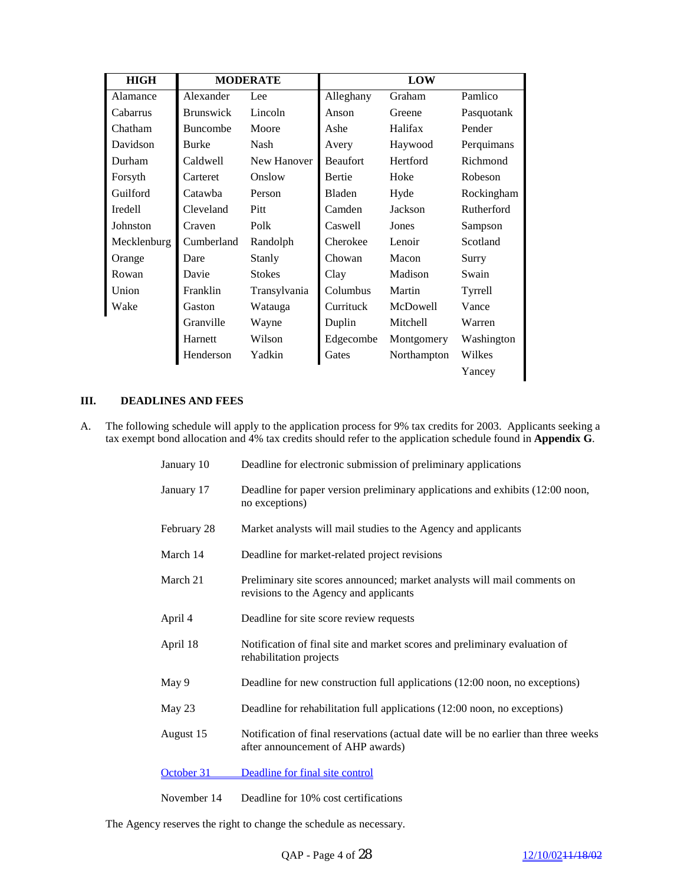| <b>HIGH</b> | <b>MODERATE</b>  |               |                 |             |            |
|-------------|------------------|---------------|-----------------|-------------|------------|
| Alamance    | Alexander        | Lee           | Alleghany       | Graham      | Pamlico    |
| Cabarrus    | <b>Brunswick</b> | Lincoln       | Anson           | Greene      | Pasquotank |
| Chatham     | <b>Buncombe</b>  | Moore         | Ashe            | Halifax     | Pender     |
| Davidson    | <b>Burke</b>     | <b>Nash</b>   | Avery           | Haywood     | Perquimans |
| Durham      | Caldwell         | New Hanover   | <b>Beaufort</b> | Hertford    | Richmond   |
| Forsyth     | Carteret         | Onslow        | Bertie          | Hoke        | Robeson    |
| Guilford    | Catawba          | Person        | Bladen          | Hyde        | Rockingham |
| Iredell     | Cleveland        | Pitt          | Camden          | Jackson     | Rutherford |
| Johnston    | Craven           | Polk          | Caswell         | Jones       | Sampson    |
| Mecklenburg | Cumberland       | Randolph      | Cherokee        | Lenoir      | Scotland   |
| Orange      | Dare             | Stanly        | Chowan          | Macon       | Surry      |
| Rowan       | Davie            | <b>Stokes</b> | Clay            | Madison     | Swain      |
| Union       | Franklin         | Transylvania  | Columbus        | Martin      | Tyrrell    |
| Wake        | Gaston           | Watauga       | Currituck       | McDowell    | Vance      |
|             | Granville        | Wayne         | Duplin          | Mitchell    | Warren     |
|             | Harnett          | Wilson        | Edgecombe       | Montgomery  | Washington |
|             | Henderson        | Yadkin        | Gates           | Northampton | Wilkes     |
|             |                  |               |                 |             | Yancey     |

# **III. DEADLINES AND FEES**

A. The following schedule will apply to the application process for 9% tax credits for 2003. Applicants seeking a tax exempt bond allocation and 4% tax credits should refer to the application schedule found in **Appendix G**.

| January 10  | Deadline for electronic submission of preliminary applications                                                           |
|-------------|--------------------------------------------------------------------------------------------------------------------------|
| January 17  | Deadline for paper version preliminary applications and exhibits (12:00 noon,<br>no exceptions)                          |
| February 28 | Market analysts will mail studies to the Agency and applicants                                                           |
| March 14    | Deadline for market-related project revisions                                                                            |
| March 21    | Preliminary site scores announced; market analysts will mail comments on<br>revisions to the Agency and applicants       |
| April 4     | Deadline for site score review requests                                                                                  |
| April 18    | Notification of final site and market scores and preliminary evaluation of<br>rehabilitation projects                    |
| May 9       | Deadline for new construction full applications (12:00 noon, no exceptions)                                              |
| May 23      | Deadline for rehabilitation full applications (12:00 noon, no exceptions)                                                |
| August 15   | Notification of final reservations (actual date will be no earlier than three weeks<br>after announcement of AHP awards) |
| October 31  | Deadline for final site control                                                                                          |
| November 14 | Deadline for 10% cost certifications                                                                                     |

The Agency reserves the right to change the schedule as necessary.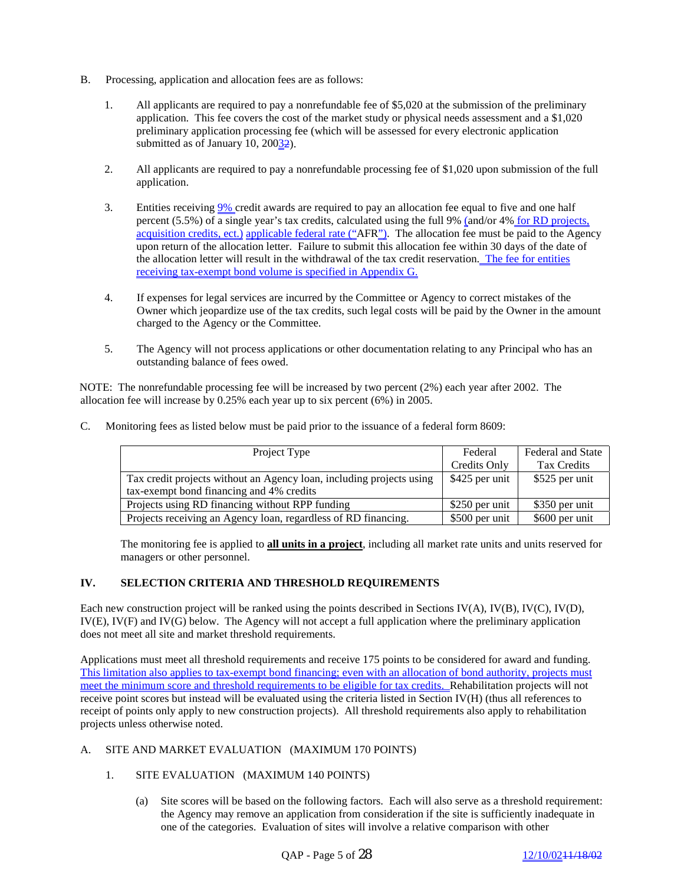- B. Processing, application and allocation fees are as follows:
	- 1. All applicants are required to pay a nonrefundable fee of \$5,020 at the submission of the preliminary application. This fee covers the cost of the market study or physical needs assessment and a \$1,020 preliminary application processing fee (which will be assessed for every electronic application submitted as of January 10,  $20032$ .
	- 2. All applicants are required to pay a nonrefundable processing fee of \$1,020 upon submission of the full application.
	- 3. Entities receiving 9% credit awards are required to pay an allocation fee equal to five and one half percent (5.5%) of a single year's tax credits, calculated using the full 9% (and/or 4% for RD projects, acquisition credits, ect.) applicable federal rate ("AFR"). The allocation fee must be paid to the Agency upon return of the allocation letter. Failure to submit this allocation fee within 30 days of the date of the allocation letter will result in the withdrawal of the tax credit reservation. The fee for entities receiving tax-exempt bond volume is specified in Appendix G.
	- 4. If expenses for legal services are incurred by the Committee or Agency to correct mistakes of the Owner which jeopardize use of the tax credits, such legal costs will be paid by the Owner in the amount charged to the Agency or the Committee.
	- 5. The Agency will not process applications or other documentation relating to any Principal who has an outstanding balance of fees owed.

NOTE: The nonrefundable processing fee will be increased by two percent (2%) each year after 2002. The allocation fee will increase by 0.25% each year up to six percent (6%) in 2005.

C. Monitoring fees as listed below must be paid prior to the issuance of a federal form 8609:

| Project Type                                                         | Federal        | <b>Federal and State</b> |
|----------------------------------------------------------------------|----------------|--------------------------|
|                                                                      | Credits Only   | Tax Credits              |
| Tax credit projects without an Agency loan, including projects using | \$425 per unit | \$525 per unit           |
| tax-exempt bond financing and 4% credits                             |                |                          |
| Projects using RD financing without RPP funding                      | \$250 per unit | \$350 per unit           |
| Projects receiving an Agency loan, regardless of RD financing.       | \$500 per unit | \$600 per unit           |

The monitoring fee is applied to **all units in a project**, including all market rate units and units reserved for managers or other personnel.

# **IV. SELECTION CRITERIA AND THRESHOLD REQUIREMENTS**

Each new construction project will be ranked using the points described in Sections IV(A), IV(B), IV(C), IV(D), IV(E), IV(F) and IV(G) below. The Agency will not accept a full application where the preliminary application does not meet all site and market threshold requirements.

Applications must meet all threshold requirements and receive 175 points to be considered for award and funding. This limitation also applies to tax-exempt bond financing; even with an allocation of bond authority, projects must meet the minimum score and threshold requirements to be eligible for tax credits. Rehabilitation projects will not receive point scores but instead will be evaluated using the criteria listed in Section IV(H) (thus all references to receipt of points only apply to new construction projects). All threshold requirements also apply to rehabilitation projects unless otherwise noted.

## A. SITE AND MARKET EVALUATION (MAXIMUM 170 POINTS)

- 1. SITE EVALUATION (MAXIMUM 140 POINTS)
	- (a) Site scores will be based on the following factors. Each will also serve as a threshold requirement: the Agency may remove an application from consideration if the site is sufficiently inadequate in one of the categories. Evaluation of sites will involve a relative comparison with other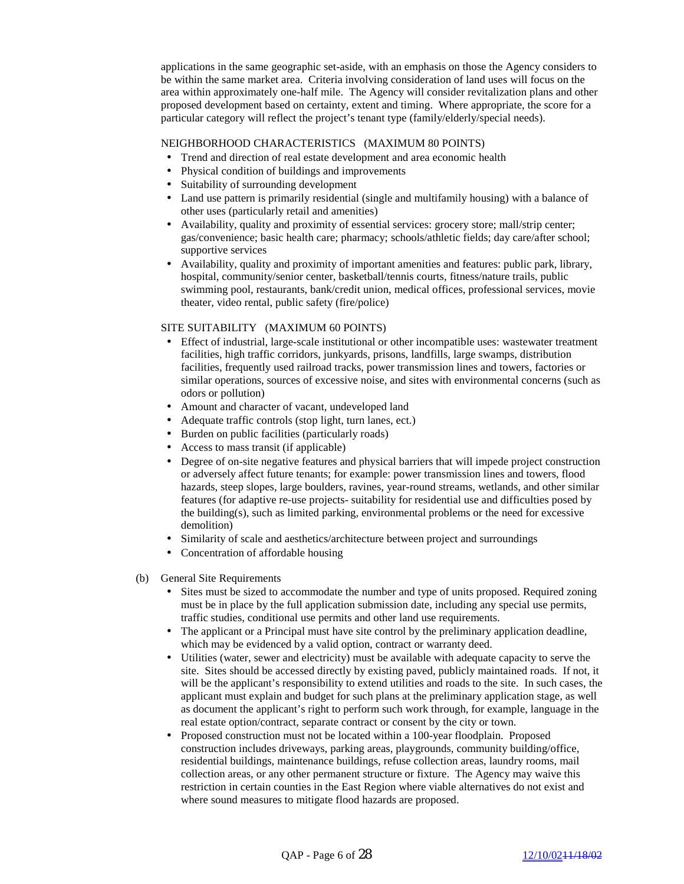applications in the same geographic set-aside, with an emphasis on those the Agency considers to be within the same market area. Criteria involving consideration of land uses will focus on the area within approximately one-half mile. The Agency will consider revitalization plans and other proposed development based on certainty, extent and timing. Where appropriate, the score for a particular category will reflect the project's tenant type (family/elderly/special needs).

#### NEIGHBORHOOD CHARACTERISTICS (MAXIMUM 80 POINTS)

- Trend and direction of real estate development and area economic health
- Physical condition of buildings and improvements
- Suitability of surrounding development
- Land use pattern is primarily residential (single and multifamily housing) with a balance of other uses (particularly retail and amenities)
- Availability, quality and proximity of essential services: grocery store; mall/strip center; gas/convenience; basic health care; pharmacy; schools/athletic fields; day care/after school; supportive services
- Availability, quality and proximity of important amenities and features: public park, library, hospital, community/senior center, basketball/tennis courts, fitness/nature trails, public swimming pool, restaurants, bank/credit union, medical offices, professional services, movie theater, video rental, public safety (fire/police)

#### SITE SUITABILITY (MAXIMUM 60 POINTS)

- Effect of industrial, large-scale institutional or other incompatible uses: wastewater treatment facilities, high traffic corridors, junkyards, prisons, landfills, large swamps, distribution facilities, frequently used railroad tracks, power transmission lines and towers, factories or similar operations, sources of excessive noise, and sites with environmental concerns (such as odors or pollution)
- Amount and character of vacant, undeveloped land
- Adequate traffic controls (stop light, turn lanes, ect.)
- Burden on public facilities (particularly roads)
- Access to mass transit (if applicable)
- Degree of on-site negative features and physical barriers that will impede project construction or adversely affect future tenants; for example: power transmission lines and towers, flood hazards, steep slopes, large boulders, ravines, year-round streams, wetlands, and other similar features (for adaptive re-use projects- suitability for residential use and difficulties posed by the building(s), such as limited parking, environmental problems or the need for excessive demolition)
- Similarity of scale and aesthetics/architecture between project and surroundings
- Concentration of affordable housing
- (b) General Site Requirements
	- Sites must be sized to accommodate the number and type of units proposed. Required zoning must be in place by the full application submission date, including any special use permits, traffic studies, conditional use permits and other land use requirements.
	- The applicant or a Principal must have site control by the preliminary application deadline, which may be evidenced by a valid option, contract or warranty deed.
	- Utilities (water, sewer and electricity) must be available with adequate capacity to serve the site. Sites should be accessed directly by existing paved, publicly maintained roads. If not, it will be the applicant's responsibility to extend utilities and roads to the site. In such cases, the applicant must explain and budget for such plans at the preliminary application stage, as well as document the applicant's right to perform such work through, for example, language in the real estate option/contract, separate contract or consent by the city or town.
	- Proposed construction must not be located within a 100-year floodplain. Proposed construction includes driveways, parking areas, playgrounds, community building/office, residential buildings, maintenance buildings, refuse collection areas, laundry rooms, mail collection areas, or any other permanent structure or fixture. The Agency may waive this restriction in certain counties in the East Region where viable alternatives do not exist and where sound measures to mitigate flood hazards are proposed.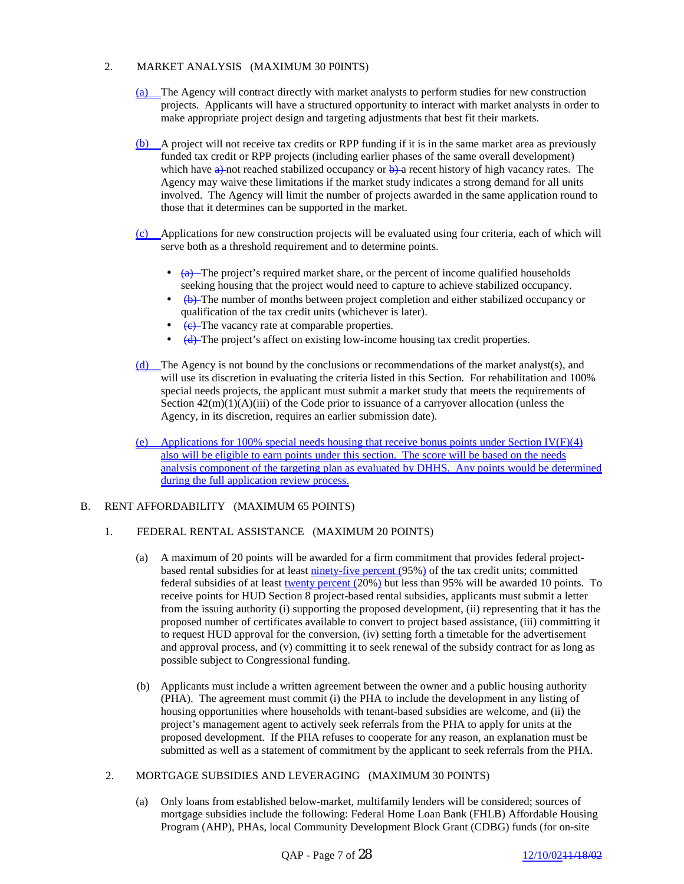## 2. MARKET ANALYSIS (MAXIMUM 30 P0INTS)

- (a) The Agency will contract directly with market analysts to perform studies for new construction projects. Applicants will have a structured opportunity to interact with market analysts in order to make appropriate project design and targeting adjustments that best fit their markets.
- (b) A project will not receive tax credits or RPP funding if it is in the same market area as previously funded tax credit or RPP projects (including earlier phases of the same overall development) which have  $\theta$ ) not reached stabilized occupancy or  $\theta$ ) a recent history of high vacancy rates. The Agency may waive these limitations if the market study indicates a strong demand for all units involved. The Agency will limit the number of projects awarded in the same application round to those that it determines can be supported in the market.
- (c) Applications for new construction projects will be evaluated using four criteria, each of which will serve both as a threshold requirement and to determine points.
	- $\bullet$   $\left( \frac{a}{b} \right)$  The project's required market share, or the percent of income qualified households seeking housing that the project would need to capture to achieve stabilized occupancy.
	- $\leftrightarrow$   $\leftrightarrow$  The number of months between project completion and either stabilized occupancy or qualification of the tax credit units (whichever is later).
	- (e) The vacancy rate at comparable properties.
	- (d) The project's affect on existing low-income housing tax credit properties.
- (d) The Agency is not bound by the conclusions or recommendations of the market analyst(s), and will use its discretion in evaluating the criteria listed in this Section. For rehabilitation and 100% special needs projects, the applicant must submit a market study that meets the requirements of Section  $42(m)(1)(A)(iii)$  of the Code prior to issuance of a carryover allocation (unless the Agency, in its discretion, requires an earlier submission date).
- (e) Applications for 100% special needs housing that receive bonus points under Section IV(F)(4) also will be eligible to earn points under this section. The score will be based on the needs analysis component of the targeting plan as evaluated by DHHS. Any points would be determined during the full application review process.

## B. RENT AFFORDABILITY (MAXIMUM 65 POINTS)

## 1. FEDERAL RENTAL ASSISTANCE (MAXIMUM 20 POINTS)

- (a) A maximum of 20 points will be awarded for a firm commitment that provides federal projectbased rental subsidies for at least ninety-five percent (95%) of the tax credit units; committed federal subsidies of at least twenty percent (20%) but less than 95% will be awarded 10 points. To receive points for HUD Section 8 project-based rental subsidies, applicants must submit a letter from the issuing authority (i) supporting the proposed development, (ii) representing that it has the proposed number of certificates available to convert to project based assistance, (iii) committing it to request HUD approval for the conversion, (iv) setting forth a timetable for the advertisement and approval process, and (v) committing it to seek renewal of the subsidy contract for as long as possible subject to Congressional funding.
- (b) Applicants must include a written agreement between the owner and a public housing authority (PHA). The agreement must commit (i) the PHA to include the development in any listing of housing opportunities where households with tenant-based subsidies are welcome, and (ii) the project's management agent to actively seek referrals from the PHA to apply for units at the proposed development. If the PHA refuses to cooperate for any reason, an explanation must be submitted as well as a statement of commitment by the applicant to seek referrals from the PHA.
- 2. MORTGAGE SUBSIDIES AND LEVERAGING (MAXIMUM 30 POINTS)
	- (a) Only loans from established below-market, multifamily lenders will be considered; sources of mortgage subsidies include the following: Federal Home Loan Bank (FHLB) Affordable Housing Program (AHP), PHAs, local Community Development Block Grant (CDBG) funds (for on-site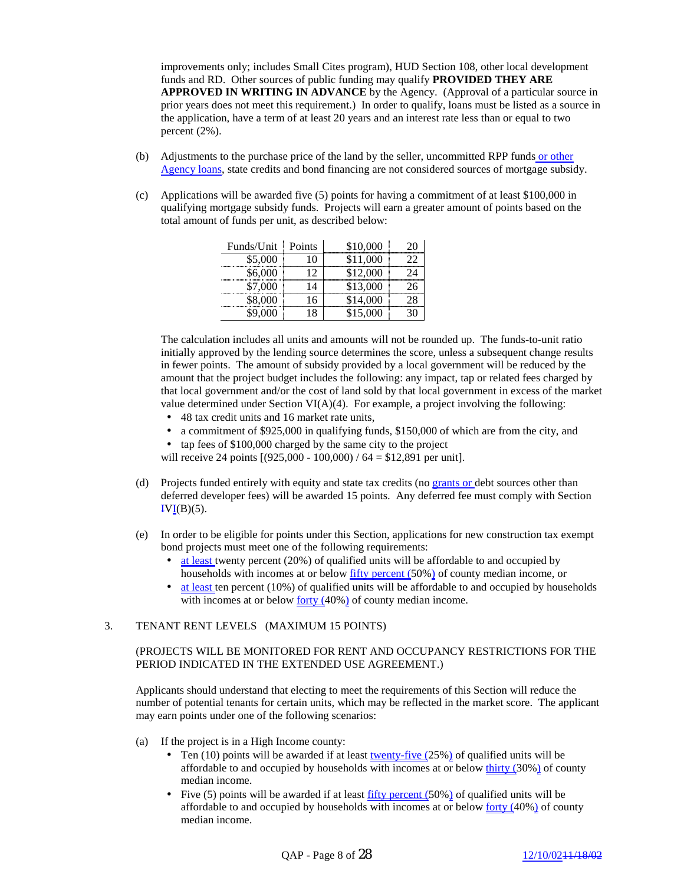improvements only; includes Small Cites program), HUD Section 108, other local development funds and RD. Other sources of public funding may qualify **PROVIDED THEY ARE APPROVED IN WRITING IN ADVANCE** by the Agency. (Approval of a particular source in prior years does not meet this requirement.) In order to qualify, loans must be listed as a source in the application, have a term of at least 20 years and an interest rate less than or equal to two percent (2%).

- (b) Adjustments to the purchase price of the land by the seller, uncommitted RPP funds or other Agency loans, state credits and bond financing are not considered sources of mortgage subsidy.
- (c) Applications will be awarded five (5) points for having a commitment of at least \$100,000 in qualifying mortgage subsidy funds. Projects will earn a greater amount of points based on the total amount of funds per unit, as described below:

| Funds/Unit  | Points | \$10,000 |  |
|-------------|--------|----------|--|
| \$5,000<br> |        | \$11,000 |  |
| \$6,000<br> |        | \$12,000 |  |
|             |        | \$13,000 |  |
| 8,000       |        |          |  |
|             |        | \$15,000 |  |

The calculation includes all units and amounts will not be rounded up. The funds-to-unit ratio initially approved by the lending source determines the score, unless a subsequent change results in fewer points. The amount of subsidy provided by a local government will be reduced by the amount that the project budget includes the following: any impact, tap or related fees charged by that local government and/or the cost of land sold by that local government in excess of the market value determined under Section  $VI(A)(4)$ . For example, a project involving the following:

- 48 tax credit units and 16 market rate units,
- a commitment of \$925,000 in qualifying funds, \$150,000 of which are from the city, and
- tap fees of \$100,000 charged by the same city to the project

will receive 24 points  $[(925,000 - 100,000) / 64 = $12,891$  per unit].

- (d) Projects funded entirely with equity and state tax credits (no grants or debt sources other than deferred developer fees) will be awarded 15 points. Any deferred fee must comply with Section  $IVI(B)(5)$ .
- (e) In order to be eligible for points under this Section, applications for new construction tax exempt bond projects must meet one of the following requirements:
	- at least twenty percent (20%) of qualified units will be affordable to and occupied by households with incomes at or below fifty percent (50%) of county median income, or
	- at least ten percent (10%) of qualified units will be affordable to and occupied by households with incomes at or below <u>forty (40%)</u> of county median income.

## 3. TENANT RENT LEVELS (MAXIMUM 15 POINTS)

#### (PROJECTS WILL BE MONITORED FOR RENT AND OCCUPANCY RESTRICTIONS FOR THE PERIOD INDICATED IN THE EXTENDED USE AGREEMENT.)

Applicants should understand that electing to meet the requirements of this Section will reduce the number of potential tenants for certain units, which may be reflected in the market score. The applicant may earn points under one of the following scenarios:

- (a) If the project is in a High Income county:
	- Ten (10) points will be awarded if at least twenty-five  $(25%)$  of qualified units will be affordable to and occupied by households with incomes at or below  $\frac{thirty}{lt}$  (30%) of county median income.
	- Five (5) points will be awarded if at least fifty percent (50%) of qualified units will be affordable to and occupied by households with incomes at or below forty (40%) of county median income.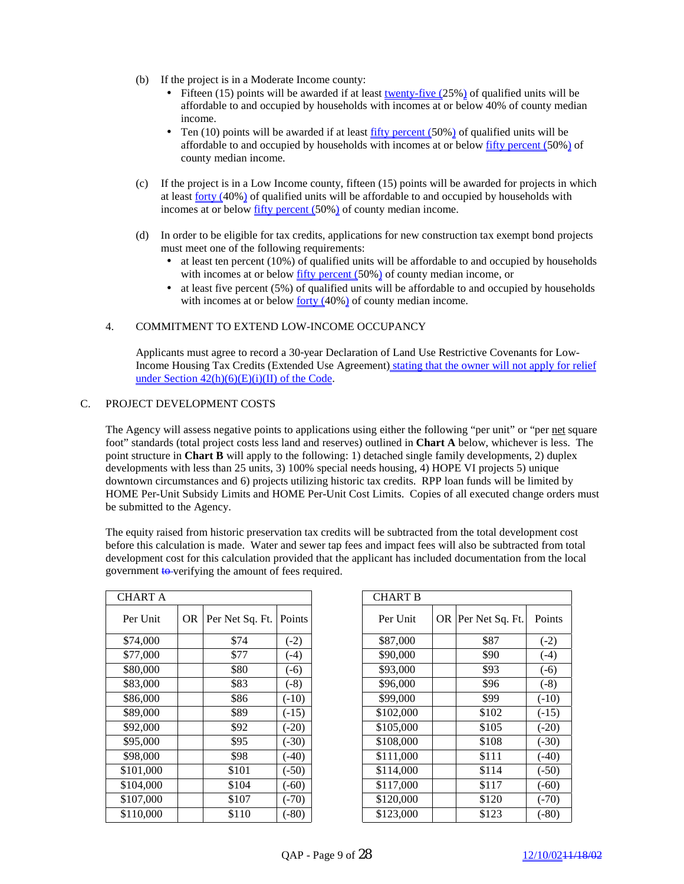- (b) If the project is in a Moderate Income county:
	- Fifteen (15) points will be awarded if at least twenty-five  $(25%)$  of qualified units will be affordable to and occupied by households with incomes at or below 40% of county median income.
	- Ten  $(10)$  points will be awarded if at least fifty percent  $(50%)$  of qualified units will be affordable to and occupied by households with incomes at or below fifty percent (50%) of county median income.
- (c) If the project is in a Low Income county, fifteen (15) points will be awarded for projects in which at least forty (40%) of qualified units will be affordable to and occupied by households with incomes at or below fifty percent (50%) of county median income.
- (d) In order to be eligible for tax credits, applications for new construction tax exempt bond projects must meet one of the following requirements:
	- at least ten percent (10%) of qualified units will be affordable to and occupied by households with incomes at or below fifty percent (50%) of county median income, or
	- at least five percent (5%) of qualified units will be affordable to and occupied by households with incomes at or below <u>forty (40%)</u> of county median income.

## 4. COMMITMENT TO EXTEND LOW-INCOME OCCUPANCY

Applicants must agree to record a 30-year Declaration of Land Use Restrictive Covenants for Low-Income Housing Tax Credits (Extended Use Agreement) stating that the owner will not apply for relief under Section  $42(h)(6)(E)(i)(II)$  of the Code.

#### C. PROJECT DEVELOPMENT COSTS

The Agency will assess negative points to applications using either the following "per unit" or "per net square foot" standards (total project costs less land and reserves) outlined in **Chart A** below, whichever is less. The point structure in **Chart B** will apply to the following: 1) detached single family developments, 2) duplex developments with less than 25 units, 3) 100% special needs housing, 4) HOPE VI projects 5) unique downtown circumstances and 6) projects utilizing historic tax credits. RPP loan funds will be limited by HOME Per-Unit Subsidy Limits and HOME Per-Unit Cost Limits. Copies of all executed change orders must be submitted to the Agency.

The equity raised from historic preservation tax credits will be subtracted from the total development cost before this calculation is made. Water and sewer tap fees and impact fees will also be subtracted from total development cost for this calculation provided that the applicant has included documentation from the local government to verifying the amount of fees required.

| <b>CHART A</b> |    |                 |         |
|----------------|----|-----------------|---------|
| Per Unit       | OR | Per Net Sq. Ft. | Points  |
| \$74,000       |    | \$74            | $(-2)$  |
| \$77,000       |    | \$77            | $(-4)$  |
| \$80,000       |    | \$80            | $(-6)$  |
| \$83,000       |    | \$83            | $(-8)$  |
| \$86,000       |    | \$86            | $(-10)$ |
| \$89,000       |    | \$89            | $(-15)$ |
| \$92,000       |    | \$92            | $(-20)$ |
| \$95,000       |    | \$95            | $(-30)$ |
| \$98,000       |    | \$98            | $(-40)$ |
| \$101,000      |    | \$101           | $(-50)$ |
| \$104,000      |    | \$104           | $(-60)$ |
| \$107,000      |    | \$107           | $(-70)$ |
| \$110,000      |    | \$110           | $(-80)$ |

| <b>CHART A</b> |     |                 |         | <b>CHART B</b> |                    |         |
|----------------|-----|-----------------|---------|----------------|--------------------|---------|
| Per Unit       | OR. | Per Net Sq. Ft. | Points  | Per Unit       | OR Per Net Sq. Ft. | Points  |
| \$74,000       |     | \$74            | $(-2)$  | \$87,000       | \$87               | $(-2)$  |
| \$77,000       |     | \$77            | $(-4)$  | \$90,000       | \$90               | $(-4)$  |
| \$80,000       |     | \$80            | $(-6)$  | \$93,000       | \$93               | $(-6)$  |
| \$83,000       |     | \$83            | $(-8)$  | \$96,000       | \$96               | $(-8)$  |
| \$86,000       |     | \$86            | $(-10)$ | \$99,000       | \$99               | $(-10)$ |
| \$89,000       |     | \$89            | $(-15)$ | \$102,000      | \$102              | $(-15)$ |
| \$92,000       |     | \$92            | $(-20)$ | \$105,000      | \$105              | $(-20)$ |
| \$95,000       |     | \$95            | $(-30)$ | \$108,000      | \$108              | $(-30)$ |
| \$98,000       |     | \$98            | $(-40)$ | \$111,000      | \$111              | $(-40)$ |
| \$101,000      |     | \$101           | $(-50)$ | \$114,000      | \$114              | $(-50)$ |
| \$104,000      |     | \$104           | $(-60)$ | \$117,000      | \$117              | $(-60)$ |
| \$107,000      |     | \$107           | $(-70)$ | \$120,000      | \$120              | $(-70)$ |
| \$110.000      |     | \$110           | (.80)   | \$123.000      | \$123              | (.80)   |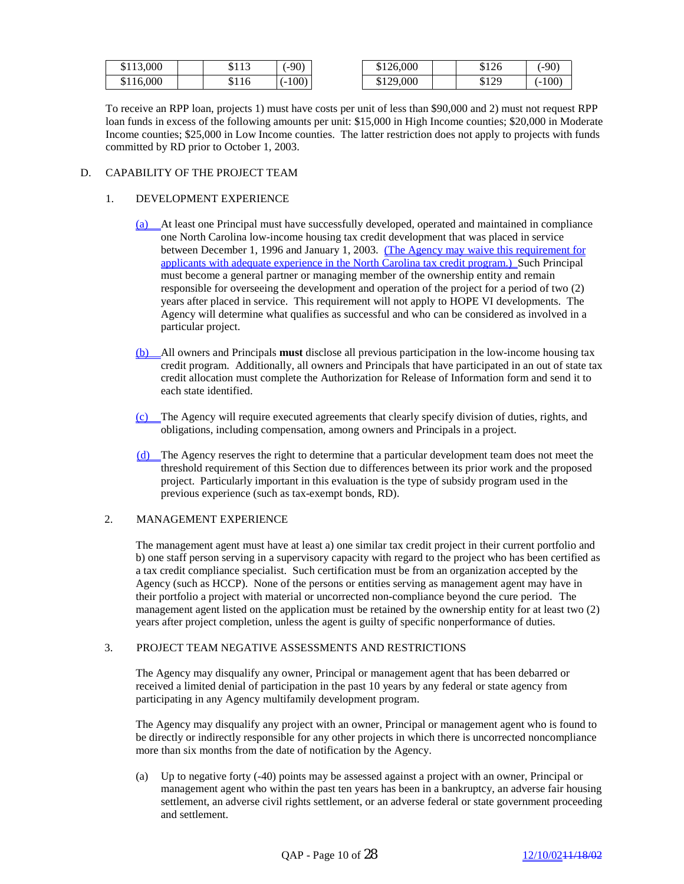| \$113,000 | <b>ሮ 1 1 つ</b><br>91 I J | $(-90)$  | \$126,000 | \$126 | $(-90)$  |
|-----------|--------------------------|----------|-----------|-------|----------|
| \$116,000 | \$116                    | $(-100)$ | \$129,000 | \$129 | $(-100)$ |

To receive an RPP loan, projects 1) must have costs per unit of less than \$90,000 and 2) must not request RPP loan funds in excess of the following amounts per unit: \$15,000 in High Income counties; \$20,000 in Moderate Income counties; \$25,000 in Low Income counties. The latter restriction does not apply to projects with funds committed by RD prior to October 1, 2003.

# D. CAPABILITY OF THE PROJECT TEAM

# 1. DEVELOPMENT EXPERIENCE

- (a) At least one Principal must have successfully developed, operated and maintained in compliance one North Carolina low-income housing tax credit development that was placed in service between December 1, 1996 and January 1, 2003. (The Agency may waive this requirement for applicants with adequate experience in the North Carolina tax credit program.) Such Principal must become a general partner or managing member of the ownership entity and remain responsible for overseeing the development and operation of the project for a period of two (2) years after placed in service. This requirement will not apply to HOPE VI developments. The Agency will determine what qualifies as successful and who can be considered as involved in a particular project.
- (b) All owners and Principals **must** disclose all previous participation in the low-income housing tax credit program. Additionally, all owners and Principals that have participated in an out of state tax credit allocation must complete the Authorization for Release of Information form and send it to each state identified.
- (c) The Agency will require executed agreements that clearly specify division of duties, rights, and obligations, including compensation, among owners and Principals in a project.
- (d) The Agency reserves the right to determine that a particular development team does not meet the threshold requirement of this Section due to differences between its prior work and the proposed project. Particularly important in this evaluation is the type of subsidy program used in the previous experience (such as tax-exempt bonds, RD).

## 2. MANAGEMENT EXPERIENCE

The management agent must have at least a) one similar tax credit project in their current portfolio and b) one staff person serving in a supervisory capacity with regard to the project who has been certified as a tax credit compliance specialist. Such certification must be from an organization accepted by the Agency (such as HCCP). None of the persons or entities serving as management agent may have in their portfolio a project with material or uncorrected non-compliance beyond the cure period. The management agent listed on the application must be retained by the ownership entity for at least two (2) years after project completion, unless the agent is guilty of specific nonperformance of duties.

## 3. PROJECT TEAM NEGATIVE ASSESSMENTS AND RESTRICTIONS

The Agency may disqualify any owner, Principal or management agent that has been debarred or received a limited denial of participation in the past 10 years by any federal or state agency from participating in any Agency multifamily development program.

The Agency may disqualify any project with an owner, Principal or management agent who is found to be directly or indirectly responsible for any other projects in which there is uncorrected noncompliance more than six months from the date of notification by the Agency.

(a) Up to negative forty (-40) points may be assessed against a project with an owner, Principal or management agent who within the past ten years has been in a bankruptcy, an adverse fair housing settlement, an adverse civil rights settlement, or an adverse federal or state government proceeding and settlement.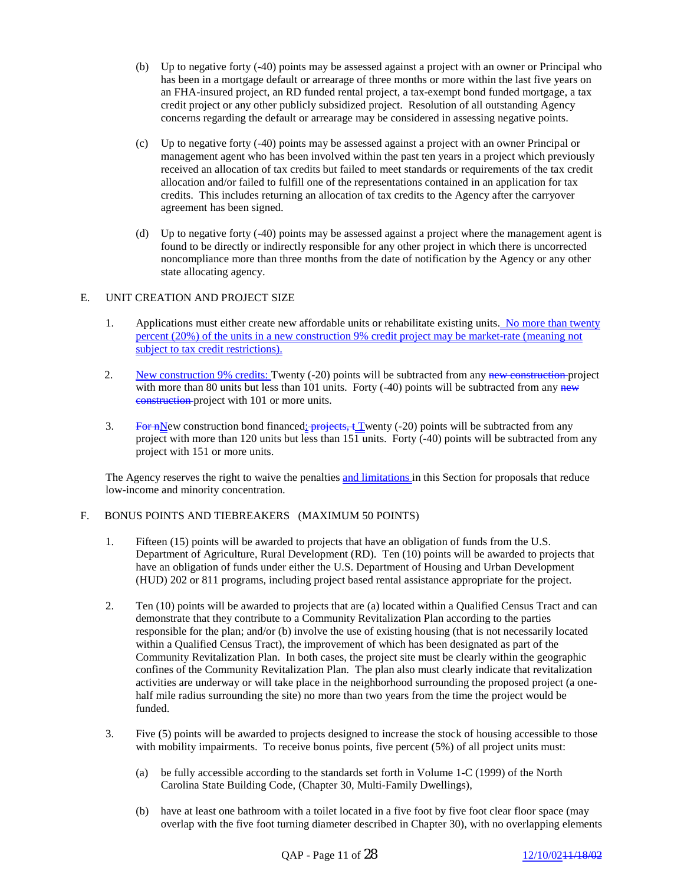- (b) Up to negative forty (-40) points may be assessed against a project with an owner or Principal who has been in a mortgage default or arrearage of three months or more within the last five years on an FHA-insured project, an RD funded rental project, a tax-exempt bond funded mortgage, a tax credit project or any other publicly subsidized project. Resolution of all outstanding Agency concerns regarding the default or arrearage may be considered in assessing negative points.
- (c) Up to negative forty (-40) points may be assessed against a project with an owner Principal or management agent who has been involved within the past ten years in a project which previously received an allocation of tax credits but failed to meet standards or requirements of the tax credit allocation and/or failed to fulfill one of the representations contained in an application for tax credits. This includes returning an allocation of tax credits to the Agency after the carryover agreement has been signed.
- (d) Up to negative forty (-40) points may be assessed against a project where the management agent is found to be directly or indirectly responsible for any other project in which there is uncorrected noncompliance more than three months from the date of notification by the Agency or any other state allocating agency.

# E. UNIT CREATION AND PROJECT SIZE

- 1. Applications must either create new affordable units or rehabilitate existing units. No more than twenty percent (20%) of the units in a new construction 9% credit project may be market-rate (meaning not subject to tax credit restrictions).
- 2. New construction 9% credits: Twenty (-20) points will be subtracted from any new construction project with more than 80 units but less than 101 units. Forty  $(-40)$  points will be subtracted from any new construction project with 101 or more units.
- 3. For nNew construction bond financed:  $\frac{1}{1}$  projects,  $\frac{1}{2}$  Twenty (-20) points will be subtracted from any project with more than 120 units but less than 151 units. Forty (-40) points will be subtracted from any project with 151 or more units.

The Agency reserves the right to waive the penalties and limitations in this Section for proposals that reduce low-income and minority concentration.

## F. BONUS POINTS AND TIEBREAKERS (MAXIMUM 50 POINTS)

- 1. Fifteen (15) points will be awarded to projects that have an obligation of funds from the U.S. Department of Agriculture, Rural Development (RD). Ten (10) points will be awarded to projects that have an obligation of funds under either the U.S. Department of Housing and Urban Development (HUD) 202 or 811 programs, including project based rental assistance appropriate for the project.
- 2. Ten (10) points will be awarded to projects that are (a) located within a Qualified Census Tract and can demonstrate that they contribute to a Community Revitalization Plan according to the parties responsible for the plan; and/or (b) involve the use of existing housing (that is not necessarily located within a Qualified Census Tract), the improvement of which has been designated as part of the Community Revitalization Plan. In both cases, the project site must be clearly within the geographic confines of the Community Revitalization Plan. The plan also must clearly indicate that revitalization activities are underway or will take place in the neighborhood surrounding the proposed project (a onehalf mile radius surrounding the site) no more than two years from the time the project would be funded.
- 3. Five (5) points will be awarded to projects designed to increase the stock of housing accessible to those with mobility impairments. To receive bonus points, five percent (5%) of all project units must:
	- (a) be fully accessible according to the standards set forth in Volume 1-C (1999) of the North Carolina State Building Code, (Chapter 30, Multi-Family Dwellings),
	- (b) have at least one bathroom with a toilet located in a five foot by five foot clear floor space (may overlap with the five foot turning diameter described in Chapter 30), with no overlapping elements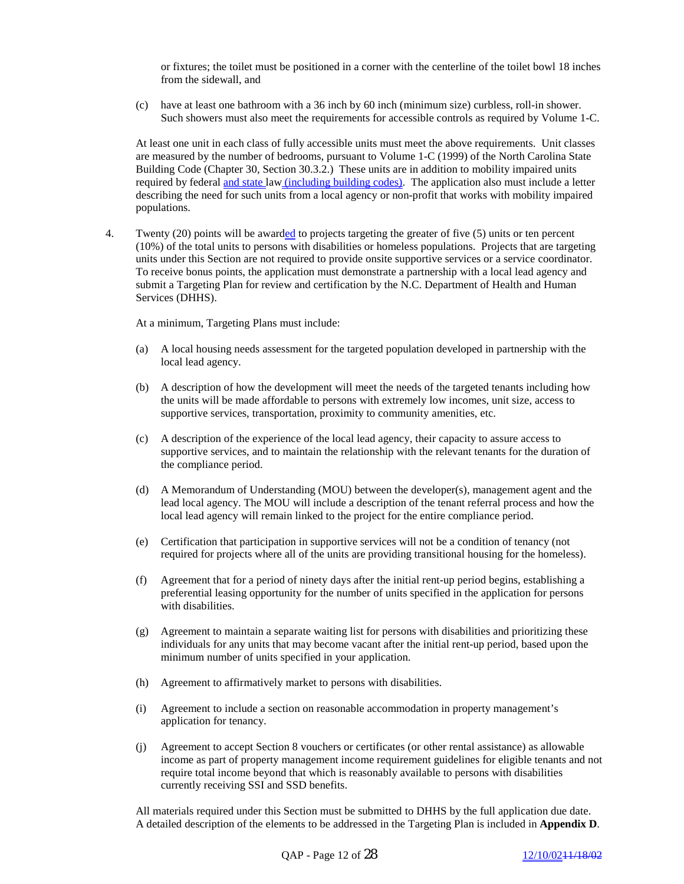or fixtures; the toilet must be positioned in a corner with the centerline of the toilet bowl 18 inches from the sidewall, and

(c) have at least one bathroom with a 36 inch by 60 inch (minimum size) curbless, roll-in shower. Such showers must also meet the requirements for accessible controls as required by Volume 1-C.

At least one unit in each class of fully accessible units must meet the above requirements. Unit classes are measured by the number of bedrooms, pursuant to Volume 1-C (1999) of the North Carolina State Building Code (Chapter 30, Section 30.3.2.) These units are in addition to mobility impaired units required by federal and state law (including building codes). The application also must include a letter describing the need for such units from a local agency or non-profit that works with mobility impaired populations.

4. Twenty (20) points will be awarded to projects targeting the greater of five (5) units or ten percent (10%) of the total units to persons with disabilities or homeless populations. Projects that are targeting units under this Section are not required to provide onsite supportive services or a service coordinator. To receive bonus points, the application must demonstrate a partnership with a local lead agency and submit a Targeting Plan for review and certification by the N.C. Department of Health and Human Services (DHHS).

At a minimum, Targeting Plans must include:

- (a) A local housing needs assessment for the targeted population developed in partnership with the local lead agency.
- (b) A description of how the development will meet the needs of the targeted tenants including how the units will be made affordable to persons with extremely low incomes, unit size, access to supportive services, transportation, proximity to community amenities, etc.
- (c) A description of the experience of the local lead agency, their capacity to assure access to supportive services, and to maintain the relationship with the relevant tenants for the duration of the compliance period.
- (d) A Memorandum of Understanding (MOU) between the developer(s), management agent and the lead local agency. The MOU will include a description of the tenant referral process and how the local lead agency will remain linked to the project for the entire compliance period.
- (e) Certification that participation in supportive services will not be a condition of tenancy (not required for projects where all of the units are providing transitional housing for the homeless).
- (f) Agreement that for a period of ninety days after the initial rent-up period begins, establishing a preferential leasing opportunity for the number of units specified in the application for persons with disabilities.
- (g) Agreement to maintain a separate waiting list for persons with disabilities and prioritizing these individuals for any units that may become vacant after the initial rent-up period, based upon the minimum number of units specified in your application.
- (h) Agreement to affirmatively market to persons with disabilities.
- (i) Agreement to include a section on reasonable accommodation in property management's application for tenancy.
- (j) Agreement to accept Section 8 vouchers or certificates (or other rental assistance) as allowable income as part of property management income requirement guidelines for eligible tenants and not require total income beyond that which is reasonably available to persons with disabilities currently receiving SSI and SSD benefits.

All materials required under this Section must be submitted to DHHS by the full application due date. A detailed description of the elements to be addressed in the Targeting Plan is included in **Appendix D**.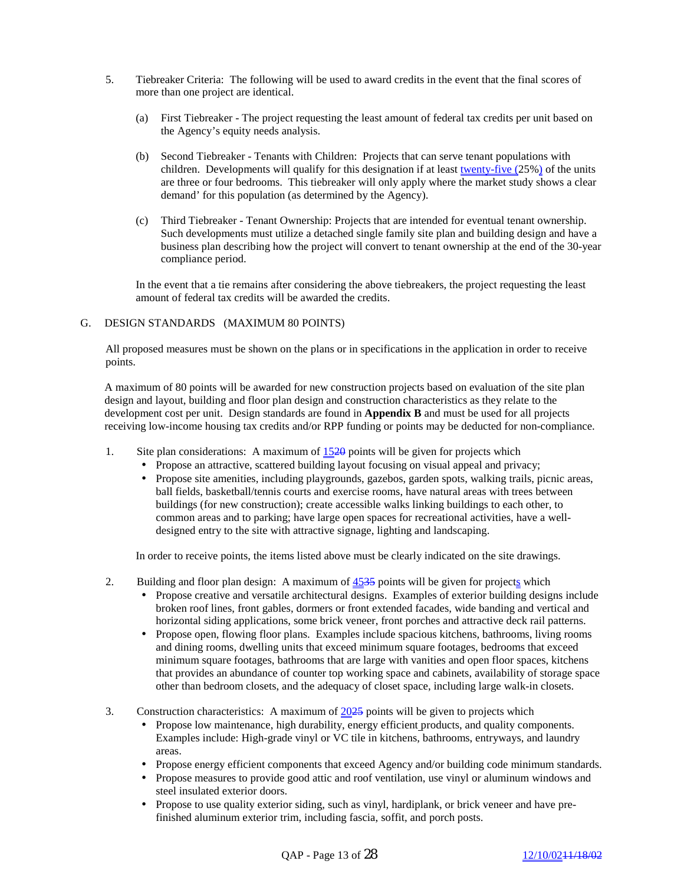- 5. Tiebreaker Criteria: The following will be used to award credits in the event that the final scores of more than one project are identical.
	- (a) First Tiebreaker The project requesting the least amount of federal tax credits per unit based on the Agency's equity needs analysis.
	- (b) Second Tiebreaker Tenants with Children: Projects that can serve tenant populations with children. Developments will qualify for this designation if at least twenty-five (25%) of the units are three or four bedrooms. This tiebreaker will only apply where the market study shows a clear demand' for this population (as determined by the Agency).
	- (c) Third Tiebreaker Tenant Ownership: Projects that are intended for eventual tenant ownership. Such developments must utilize a detached single family site plan and building design and have a business plan describing how the project will convert to tenant ownership at the end of the 30-year compliance period.

In the event that a tie remains after considering the above tiebreakers, the project requesting the least amount of federal tax credits will be awarded the credits.

#### G. DESIGN STANDARDS (MAXIMUM 80 POINTS)

All proposed measures must be shown on the plans or in specifications in the application in order to receive points.

A maximum of 80 points will be awarded for new construction projects based on evaluation of the site plan design and layout, building and floor plan design and construction characteristics as they relate to the development cost per unit. Design standards are found in **Appendix B** and must be used for all projects receiving low-income housing tax credits and/or RPP funding or points may be deducted for non-compliance.

- 1. Site plan considerations: A maximum of  $1520$  points will be given for projects which
	- Propose an attractive, scattered building layout focusing on visual appeal and privacy;
	- Propose site amenities, including playgrounds, gazebos, garden spots, walking trails, picnic areas, ball fields, basketball/tennis courts and exercise rooms, have natural areas with trees between buildings (for new construction); create accessible walks linking buildings to each other, to common areas and to parking; have large open spaces for recreational activities, have a welldesigned entry to the site with attractive signage, lighting and landscaping.

In order to receive points, the items listed above must be clearly indicated on the site drawings.

- 2. Building and floor plan design: A maximum of  $4535$  points will be given for projects which
	- Propose creative and versatile architectural designs. Examples of exterior building designs include broken roof lines, front gables, dormers or front extended facades, wide banding and vertical and horizontal siding applications, some brick veneer, front porches and attractive deck rail patterns.
	- Propose open, flowing floor plans. Examples include spacious kitchens, bathrooms, living rooms and dining rooms, dwelling units that exceed minimum square footages, bedrooms that exceed minimum square footages, bathrooms that are large with vanities and open floor spaces, kitchens that provides an abundance of counter top working space and cabinets, availability of storage space other than bedroom closets, and the adequacy of closet space, including large walk-in closets.
- 3. Construction characteristics: A maximum of  $2025$  points will be given to projects which
	- Propose low maintenance, high durability, energy efficient products, and quality components. Examples include: High-grade vinyl or VC tile in kitchens, bathrooms, entryways, and laundry areas.
	- Propose energy efficient components that exceed Agency and/or building code minimum standards.
	- Propose measures to provide good attic and roof ventilation, use vinyl or aluminum windows and steel insulated exterior doors.
	- Propose to use quality exterior siding, such as vinyl, hardiplank, or brick veneer and have prefinished aluminum exterior trim, including fascia, soffit, and porch posts.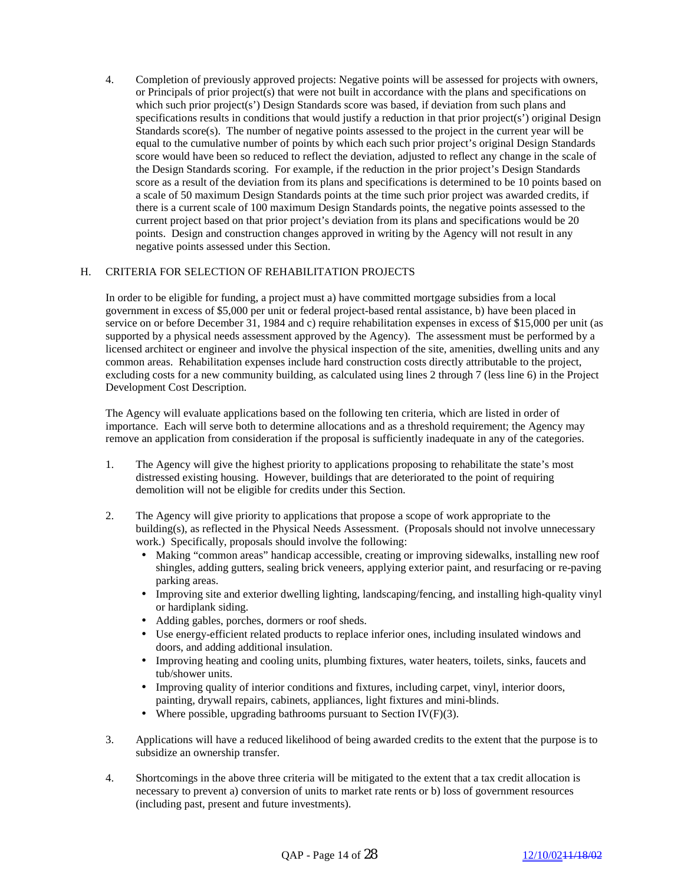4. Completion of previously approved projects: Negative points will be assessed for projects with owners, or Principals of prior project(s) that were not built in accordance with the plans and specifications on which such prior project(s') Design Standards score was based, if deviation from such plans and specifications results in conditions that would justify a reduction in that prior project(s') original Design Standards score $(s)$ . The number of negative points assessed to the project in the current year will be equal to the cumulative number of points by which each such prior project's original Design Standards score would have been so reduced to reflect the deviation, adjusted to reflect any change in the scale of the Design Standards scoring. For example, if the reduction in the prior project's Design Standards score as a result of the deviation from its plans and specifications is determined to be 10 points based on a scale of 50 maximum Design Standards points at the time such prior project was awarded credits, if there is a current scale of 100 maximum Design Standards points, the negative points assessed to the current project based on that prior project's deviation from its plans and specifications would be 20 points. Design and construction changes approved in writing by the Agency will not result in any negative points assessed under this Section.

## H. CRITERIA FOR SELECTION OF REHABILITATION PROJECTS

In order to be eligible for funding, a project must a) have committed mortgage subsidies from a local government in excess of \$5,000 per unit or federal project-based rental assistance, b) have been placed in service on or before December 31, 1984 and c) require rehabilitation expenses in excess of \$15,000 per unit (as supported by a physical needs assessment approved by the Agency). The assessment must be performed by a licensed architect or engineer and involve the physical inspection of the site, amenities, dwelling units and any common areas. Rehabilitation expenses include hard construction costs directly attributable to the project, excluding costs for a new community building, as calculated using lines 2 through 7 (less line 6) in the Project Development Cost Description.

The Agency will evaluate applications based on the following ten criteria, which are listed in order of importance. Each will serve both to determine allocations and as a threshold requirement; the Agency may remove an application from consideration if the proposal is sufficiently inadequate in any of the categories.

- 1. The Agency will give the highest priority to applications proposing to rehabilitate the state's most distressed existing housing. However, buildings that are deteriorated to the point of requiring demolition will not be eligible for credits under this Section.
- 2. The Agency will give priority to applications that propose a scope of work appropriate to the building(s), as reflected in the Physical Needs Assessment. (Proposals should not involve unnecessary work.) Specifically, proposals should involve the following:
	- Making "common areas" handicap accessible, creating or improving sidewalks, installing new roof shingles, adding gutters, sealing brick veneers, applying exterior paint, and resurfacing or re-paving parking areas.
	- Improving site and exterior dwelling lighting, landscaping/fencing, and installing high-quality vinyl or hardiplank siding.
	- Adding gables, porches, dormers or roof sheds.
	- Use energy-efficient related products to replace inferior ones, including insulated windows and doors, and adding additional insulation.
	- Improving heating and cooling units, plumbing fixtures, water heaters, toilets, sinks, faucets and tub/shower units.
	- Improving quality of interior conditions and fixtures, including carpet, vinyl, interior doors, painting, drywall repairs, cabinets, appliances, light fixtures and mini-blinds.
	- Where possible, upgrading bathrooms pursuant to Section IV( $F$ )(3).
- 3. Applications will have a reduced likelihood of being awarded credits to the extent that the purpose is to subsidize an ownership transfer.
- 4. Shortcomings in the above three criteria will be mitigated to the extent that a tax credit allocation is necessary to prevent a) conversion of units to market rate rents or b) loss of government resources (including past, present and future investments).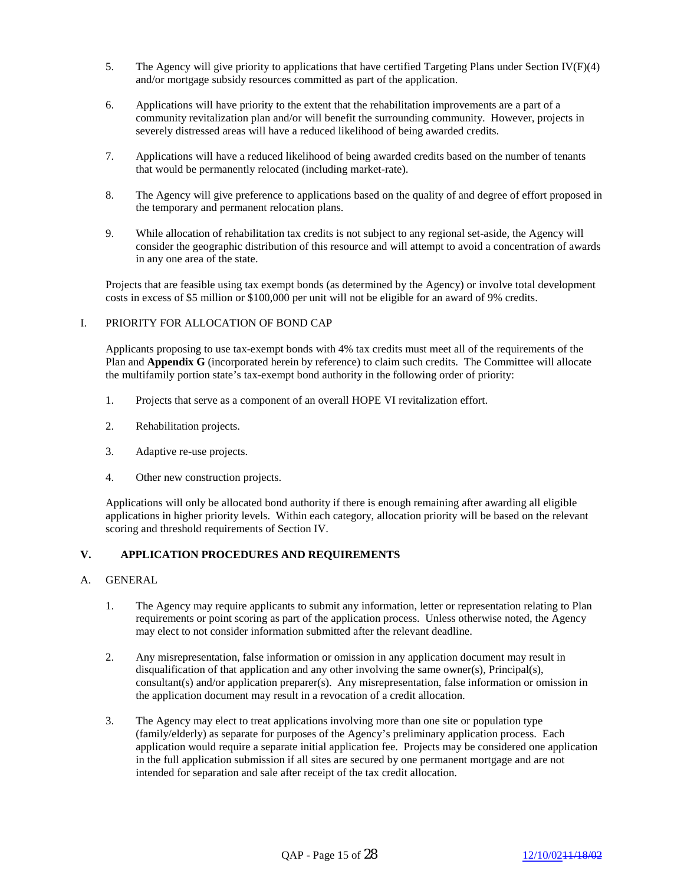- 5. The Agency will give priority to applications that have certified Targeting Plans under Section IV(F)(4) and/or mortgage subsidy resources committed as part of the application.
- 6. Applications will have priority to the extent that the rehabilitation improvements are a part of a community revitalization plan and/or will benefit the surrounding community. However, projects in severely distressed areas will have a reduced likelihood of being awarded credits.
- 7. Applications will have a reduced likelihood of being awarded credits based on the number of tenants that would be permanently relocated (including market-rate).
- 8. The Agency will give preference to applications based on the quality of and degree of effort proposed in the temporary and permanent relocation plans.
- 9. While allocation of rehabilitation tax credits is not subject to any regional set-aside, the Agency will consider the geographic distribution of this resource and will attempt to avoid a concentration of awards in any one area of the state.

Projects that are feasible using tax exempt bonds (as determined by the Agency) or involve total development costs in excess of \$5 million or \$100,000 per unit will not be eligible for an award of 9% credits.

#### I. PRIORITY FOR ALLOCATION OF BOND CAP

Applicants proposing to use tax-exempt bonds with 4% tax credits must meet all of the requirements of the Plan and **Appendix G** (incorporated herein by reference) to claim such credits. The Committee will allocate the multifamily portion state's tax-exempt bond authority in the following order of priority:

- 1. Projects that serve as a component of an overall HOPE VI revitalization effort.
- 2. Rehabilitation projects.
- 3. Adaptive re-use projects.
- 4. Other new construction projects.

Applications will only be allocated bond authority if there is enough remaining after awarding all eligible applications in higher priority levels. Within each category, allocation priority will be based on the relevant scoring and threshold requirements of Section IV.

## **V. APPLICATION PROCEDURES AND REQUIREMENTS**

#### A. GENERAL

- 1. The Agency may require applicants to submit any information, letter or representation relating to Plan requirements or point scoring as part of the application process. Unless otherwise noted, the Agency may elect to not consider information submitted after the relevant deadline.
- 2. Any misrepresentation, false information or omission in any application document may result in disqualification of that application and any other involving the same owner(s), Principal(s), consultant(s) and/or application preparer(s). Any misrepresentation, false information or omission in the application document may result in a revocation of a credit allocation.
- 3. The Agency may elect to treat applications involving more than one site or population type (family/elderly) as separate for purposes of the Agency's preliminary application process. Each application would require a separate initial application fee. Projects may be considered one application in the full application submission if all sites are secured by one permanent mortgage and are not intended for separation and sale after receipt of the tax credit allocation.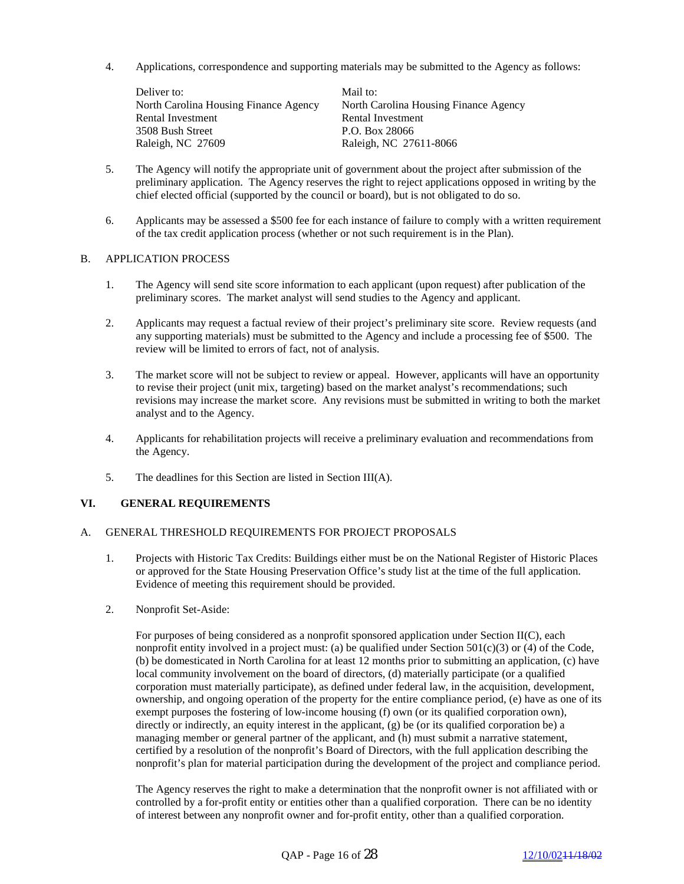4. Applications, correspondence and supporting materials may be submitted to the Agency as follows:

Deliver to: Mail to: North Carolina Housing Finance Agency North Carolina Housing Finance Agency Rental Investment Rental Investment 3508 Bush Street P.O. Box 28066 Raleigh, NC 27609 Raleigh, NC 27611-8066

- 5. The Agency will notify the appropriate unit of government about the project after submission of the preliminary application. The Agency reserves the right to reject applications opposed in writing by the chief elected official (supported by the council or board), but is not obligated to do so.
- 6. Applicants may be assessed a \$500 fee for each instance of failure to comply with a written requirement of the tax credit application process (whether or not such requirement is in the Plan).

#### B. APPLICATION PROCESS

- 1. The Agency will send site score information to each applicant (upon request) after publication of the preliminary scores. The market analyst will send studies to the Agency and applicant.
- 2. Applicants may request a factual review of their project's preliminary site score. Review requests (and any supporting materials) must be submitted to the Agency and include a processing fee of \$500. The review will be limited to errors of fact, not of analysis.
- 3. The market score will not be subject to review or appeal. However, applicants will have an opportunity to revise their project (unit mix, targeting) based on the market analyst's recommendations; such revisions may increase the market score. Any revisions must be submitted in writing to both the market analyst and to the Agency.
- 4. Applicants for rehabilitation projects will receive a preliminary evaluation and recommendations from the Agency.
- 5. The deadlines for this Section are listed in Section III(A).

## **VI. GENERAL REQUIREMENTS**

#### A. GENERAL THRESHOLD REQUIREMENTS FOR PROJECT PROPOSALS

- 1. Projects with Historic Tax Credits: Buildings either must be on the National Register of Historic Places or approved for the State Housing Preservation Office's study list at the time of the full application. Evidence of meeting this requirement should be provided.
- 2. Nonprofit Set-Aside:

For purposes of being considered as a nonprofit sponsored application under Section II(C), each nonprofit entity involved in a project must: (a) be qualified under Section  $501(c)(3)$  or (4) of the Code, (b) be domesticated in North Carolina for at least 12 months prior to submitting an application, (c) have local community involvement on the board of directors, (d) materially participate (or a qualified corporation must materially participate), as defined under federal law, in the acquisition, development, ownership, and ongoing operation of the property for the entire compliance period, (e) have as one of its exempt purposes the fostering of low-income housing (f) own (or its qualified corporation own), directly or indirectly, an equity interest in the applicant, (g) be (or its qualified corporation be) a managing member or general partner of the applicant, and (h) must submit a narrative statement, certified by a resolution of the nonprofit's Board of Directors, with the full application describing the nonprofit's plan for material participation during the development of the project and compliance period.

The Agency reserves the right to make a determination that the nonprofit owner is not affiliated with or controlled by a for-profit entity or entities other than a qualified corporation. There can be no identity of interest between any nonprofit owner and for-profit entity, other than a qualified corporation.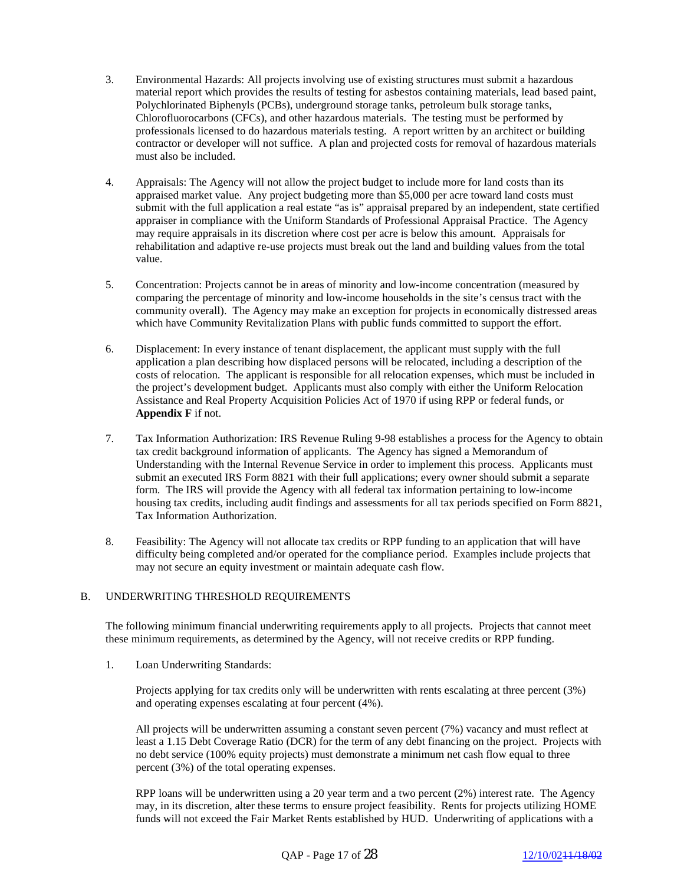- 3. Environmental Hazards: All projects involving use of existing structures must submit a hazardous material report which provides the results of testing for asbestos containing materials, lead based paint, Polychlorinated Biphenyls (PCBs), underground storage tanks, petroleum bulk storage tanks, Chlorofluorocarbons (CFCs), and other hazardous materials. The testing must be performed by professionals licensed to do hazardous materials testing. A report written by an architect or building contractor or developer will not suffice. A plan and projected costs for removal of hazardous materials must also be included.
- 4. Appraisals: The Agency will not allow the project budget to include more for land costs than its appraised market value. Any project budgeting more than \$5,000 per acre toward land costs must submit with the full application a real estate "as is" appraisal prepared by an independent, state certified appraiser in compliance with the Uniform Standards of Professional Appraisal Practice. The Agency may require appraisals in its discretion where cost per acre is below this amount. Appraisals for rehabilitation and adaptive re-use projects must break out the land and building values from the total value.
- 5. Concentration: Projects cannot be in areas of minority and low-income concentration (measured by comparing the percentage of minority and low-income households in the site's census tract with the community overall). The Agency may make an exception for projects in economically distressed areas which have Community Revitalization Plans with public funds committed to support the effort.
- 6. Displacement: In every instance of tenant displacement, the applicant must supply with the full application a plan describing how displaced persons will be relocated, including a description of the costs of relocation. The applicant is responsible for all relocation expenses, which must be included in the project's development budget. Applicants must also comply with either the Uniform Relocation Assistance and Real Property Acquisition Policies Act of 1970 if using RPP or federal funds, or **Appendix F** if not.
- 7. Tax Information Authorization: IRS Revenue Ruling 9-98 establishes a process for the Agency to obtain tax credit background information of applicants. The Agency has signed a Memorandum of Understanding with the Internal Revenue Service in order to implement this process. Applicants must submit an executed IRS Form 8821 with their full applications; every owner should submit a separate form. The IRS will provide the Agency with all federal tax information pertaining to low-income housing tax credits, including audit findings and assessments for all tax periods specified on Form 8821, Tax Information Authorization.
- 8. Feasibility: The Agency will not allocate tax credits or RPP funding to an application that will have difficulty being completed and/or operated for the compliance period. Examples include projects that may not secure an equity investment or maintain adequate cash flow.

## B. UNDERWRITING THRESHOLD REQUIREMENTS

The following minimum financial underwriting requirements apply to all projects. Projects that cannot meet these minimum requirements, as determined by the Agency, will not receive credits or RPP funding.

1. Loan Underwriting Standards:

 Projects applying for tax credits only will be underwritten with rents escalating at three percent (3%) and operating expenses escalating at four percent (4%).

 All projects will be underwritten assuming a constant seven percent (7%) vacancy and must reflect at least a 1.15 Debt Coverage Ratio (DCR) for the term of any debt financing on the project. Projects with no debt service (100% equity projects) must demonstrate a minimum net cash flow equal to three percent (3%) of the total operating expenses.

 RPP loans will be underwritten using a 20 year term and a two percent (2%) interest rate. The Agency may, in its discretion, alter these terms to ensure project feasibility. Rents for projects utilizing HOME funds will not exceed the Fair Market Rents established by HUD. Underwriting of applications with a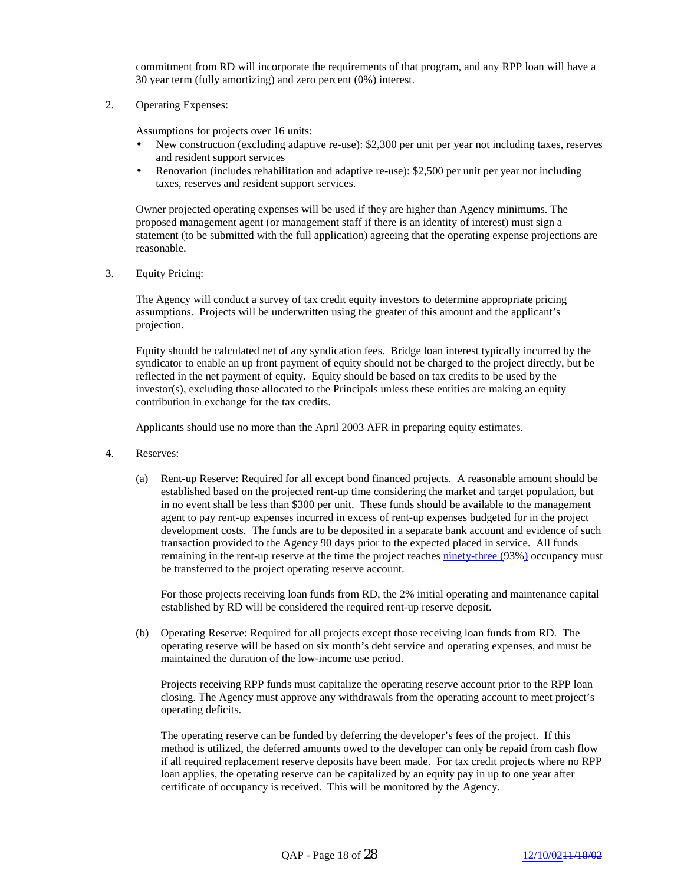commitment from RD will incorporate the requirements of that program, and any RPP loan will have a 30 year term (fully amortizing) and zero percent (0%) interest.

2. Operating Expenses:

Assumptions for projects over 16 units:

- New construction (excluding adaptive re-use): \$2,300 per unit per year not including taxes, reserves and resident support services
- Renovation (includes rehabilitation and adaptive re-use): \$2,500 per unit per year not including taxes, reserves and resident support services.

Owner projected operating expenses will be used if they are higher than Agency minimums. The proposed management agent (or management staff if there is an identity of interest) must sign a statement (to be submitted with the full application) agreeing that the operating expense projections are reasonable.

3. Equity Pricing:

 The Agency will conduct a survey of tax credit equity investors to determine appropriate pricing assumptions. Projects will be underwritten using the greater of this amount and the applicant's projection.

 Equity should be calculated net of any syndication fees. Bridge loan interest typically incurred by the syndicator to enable an up front payment of equity should not be charged to the project directly, but be reflected in the net payment of equity. Equity should be based on tax credits to be used by the investor(s), excluding those allocated to the Principals unless these entities are making an equity contribution in exchange for the tax credits.

Applicants should use no more than the April 2003 AFR in preparing equity estimates.

- 4. Reserves:
	- (a) Rent-up Reserve: Required for all except bond financed projects. A reasonable amount should be established based on the projected rent-up time considering the market and target population, but in no event shall be less than \$300 per unit. These funds should be available to the management agent to pay rent-up expenses incurred in excess of rent-up expenses budgeted for in the project development costs. The funds are to be deposited in a separate bank account and evidence of such transaction provided to the Agency 90 days prior to the expected placed in service. All funds remaining in the rent-up reserve at the time the project reaches ninety-three (93%) occupancy must be transferred to the project operating reserve account.

For those projects receiving loan funds from RD, the 2% initial operating and maintenance capital established by RD will be considered the required rent-up reserve deposit.

(b) Operating Reserve: Required for all projects except those receiving loan funds from RD. The operating reserve will be based on six month's debt service and operating expenses, and must be maintained the duration of the low-income use period.

Projects receiving RPP funds must capitalize the operating reserve account prior to the RPP loan closing. The Agency must approve any withdrawals from the operating account to meet project's operating deficits.

The operating reserve can be funded by deferring the developer's fees of the project. If this method is utilized, the deferred amounts owed to the developer can only be repaid from cash flow if all required replacement reserve deposits have been made. For tax credit projects where no RPP loan applies, the operating reserve can be capitalized by an equity pay in up to one year after certificate of occupancy is received. This will be monitored by the Agency.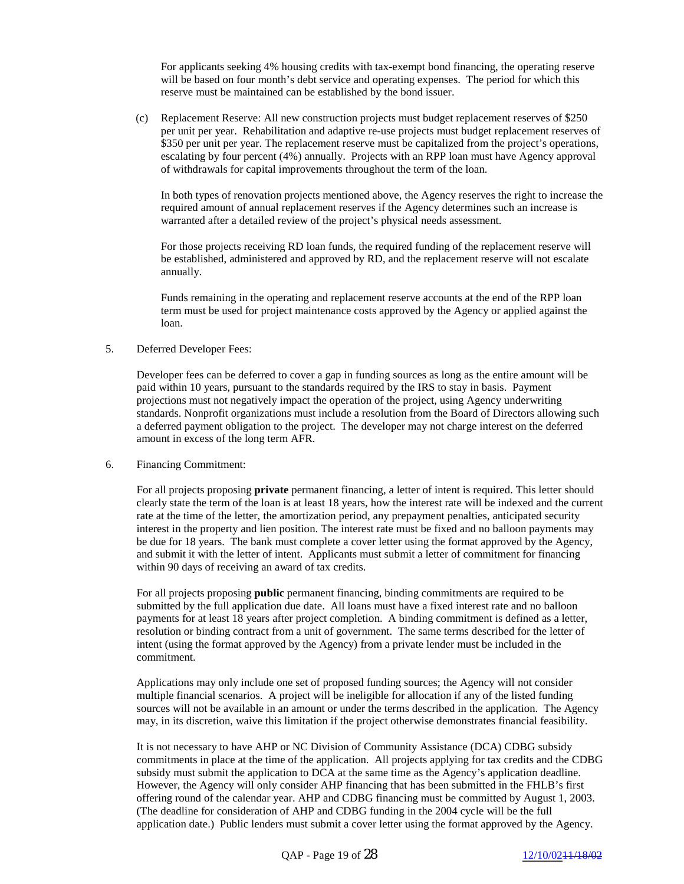For applicants seeking 4% housing credits with tax-exempt bond financing, the operating reserve will be based on four month's debt service and operating expenses. The period for which this reserve must be maintained can be established by the bond issuer.

(c) Replacement Reserve: All new construction projects must budget replacement reserves of \$250 per unit per year. Rehabilitation and adaptive re-use projects must budget replacement reserves of \$350 per unit per year. The replacement reserve must be capitalized from the project's operations, escalating by four percent (4%) annually. Projects with an RPP loan must have Agency approval of withdrawals for capital improvements throughout the term of the loan.

 In both types of renovation projects mentioned above, the Agency reserves the right to increase the required amount of annual replacement reserves if the Agency determines such an increase is warranted after a detailed review of the project's physical needs assessment.

 For those projects receiving RD loan funds, the required funding of the replacement reserve will be established, administered and approved by RD, and the replacement reserve will not escalate annually.

 Funds remaining in the operating and replacement reserve accounts at the end of the RPP loan term must be used for project maintenance costs approved by the Agency or applied against the loan.

## 5. Deferred Developer Fees:

 Developer fees can be deferred to cover a gap in funding sources as long as the entire amount will be paid within 10 years, pursuant to the standards required by the IRS to stay in basis. Payment projections must not negatively impact the operation of the project, using Agency underwriting standards. Nonprofit organizations must include a resolution from the Board of Directors allowing such a deferred payment obligation to the project. The developer may not charge interest on the deferred amount in excess of the long term AFR.

#### 6. Financing Commitment:

 For all projects proposing **private** permanent financing, a letter of intent is required. This letter should clearly state the term of the loan is at least 18 years, how the interest rate will be indexed and the current rate at the time of the letter, the amortization period, any prepayment penalties, anticipated security interest in the property and lien position. The interest rate must be fixed and no balloon payments may be due for 18 years. The bank must complete a cover letter using the format approved by the Agency, and submit it with the letter of intent. Applicants must submit a letter of commitment for financing within 90 days of receiving an award of tax credits.

 For all projects proposing **public** permanent financing, binding commitments are required to be submitted by the full application due date. All loans must have a fixed interest rate and no balloon payments for at least 18 years after project completion. A binding commitment is defined as a letter, resolution or binding contract from a unit of government. The same terms described for the letter of intent (using the format approved by the Agency) from a private lender must be included in the commitment.

 Applications may only include one set of proposed funding sources; the Agency will not consider multiple financial scenarios. A project will be ineligible for allocation if any of the listed funding sources will not be available in an amount or under the terms described in the application. The Agency may, in its discretion, waive this limitation if the project otherwise demonstrates financial feasibility.

 It is not necessary to have AHP or NC Division of Community Assistance (DCA) CDBG subsidy commitments in place at the time of the application. All projects applying for tax credits and the CDBG subsidy must submit the application to DCA at the same time as the Agency's application deadline. However, the Agency will only consider AHP financing that has been submitted in the FHLB's first offering round of the calendar year. AHP and CDBG financing must be committed by August 1, 2003. (The deadline for consideration of AHP and CDBG funding in the 2004 cycle will be the full application date.) Public lenders must submit a cover letter using the format approved by the Agency.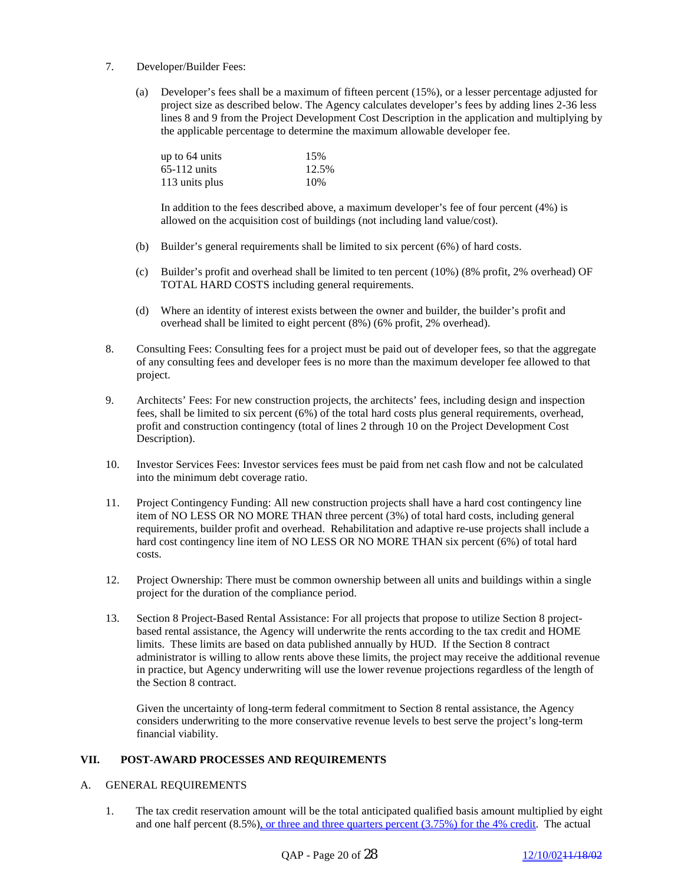- 7. Developer/Builder Fees:
	- (a) Developer's fees shall be a maximum of fifteen percent (15%), or a lesser percentage adjusted for project size as described below. The Agency calculates developer's fees by adding lines 2-36 less lines 8 and 9 from the Project Development Cost Description in the application and multiplying by the applicable percentage to determine the maximum allowable developer fee.

| up to $64 \text{ units}$ | 15%   |
|--------------------------|-------|
| $65-112$ units           | 12.5% |
| 113 units plus           | 10%   |

 In addition to the fees described above, a maximum developer's fee of four percent (4%) is allowed on the acquisition cost of buildings (not including land value/cost).

- (b) Builder's general requirements shall be limited to six percent (6%) of hard costs.
- (c) Builder's profit and overhead shall be limited to ten percent (10%) (8% profit, 2% overhead) OF TOTAL HARD COSTS including general requirements.
- (d) Where an identity of interest exists between the owner and builder, the builder's profit and overhead shall be limited to eight percent (8%) (6% profit, 2% overhead).
- 8. Consulting Fees: Consulting fees for a project must be paid out of developer fees, so that the aggregate of any consulting fees and developer fees is no more than the maximum developer fee allowed to that project.
- 9. Architects' Fees: For new construction projects, the architects' fees, including design and inspection fees, shall be limited to six percent (6%) of the total hard costs plus general requirements, overhead, profit and construction contingency (total of lines 2 through 10 on the Project Development Cost Description).
- 10. Investor Services Fees: Investor services fees must be paid from net cash flow and not be calculated into the minimum debt coverage ratio.
- 11. Project Contingency Funding: All new construction projects shall have a hard cost contingency line item of NO LESS OR NO MORE THAN three percent (3%) of total hard costs, including general requirements, builder profit and overhead. Rehabilitation and adaptive re-use projects shall include a hard cost contingency line item of NO LESS OR NO MORE THAN six percent (6%) of total hard costs.
- 12. Project Ownership: There must be common ownership between all units and buildings within a single project for the duration of the compliance period.
- 13. Section 8 Project-Based Rental Assistance: For all projects that propose to utilize Section 8 projectbased rental assistance, the Agency will underwrite the rents according to the tax credit and HOME limits. These limits are based on data published annually by HUD. If the Section 8 contract administrator is willing to allow rents above these limits, the project may receive the additional revenue in practice, but Agency underwriting will use the lower revenue projections regardless of the length of the Section 8 contract.

 Given the uncertainty of long-term federal commitment to Section 8 rental assistance, the Agency considers underwriting to the more conservative revenue levels to best serve the project's long-term financial viability.

# **VII. POST-AWARD PROCESSES AND REQUIREMENTS**

#### A. GENERAL REQUIREMENTS

1. The tax credit reservation amount will be the total anticipated qualified basis amount multiplied by eight and one half percent  $(8.5\%)$ , or three and three quarters percent  $(3.75\%)$  for the 4% credit. The actual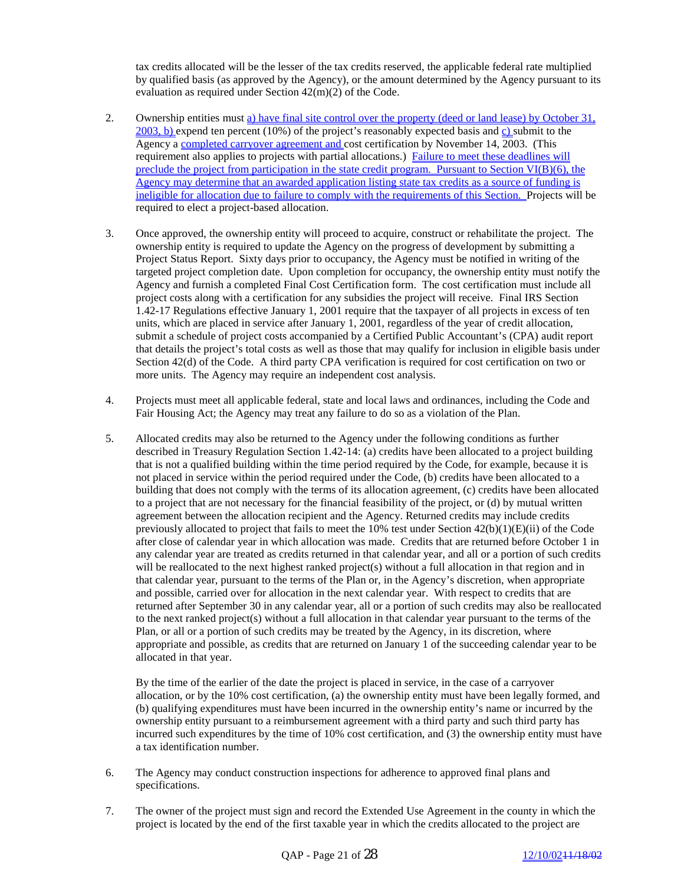tax credits allocated will be the lesser of the tax credits reserved, the applicable federal rate multiplied by qualified basis (as approved by the Agency), or the amount determined by the Agency pursuant to its evaluation as required under Section 42(m)(2) of the Code.

- 2. Ownership entities must a) have final site control over the property (deed or land lease) by October 31,  $2003$ , b) expend ten percent (10%) of the project's reasonably expected basis and c) submit to the Agency a completed carryover agreement and cost certification by November 14, 2003. (This requirement also applies to projects with partial allocations.) Failure to meet these deadlines will preclude the project from participation in the state credit program. Pursuant to Section VI(B)(6), the Agency may determine that an awarded application listing state tax credits as a source of funding is ineligible for allocation due to failure to comply with the requirements of this Section. Projects will be required to elect a project-based allocation.
- 3. Once approved, the ownership entity will proceed to acquire, construct or rehabilitate the project. The ownership entity is required to update the Agency on the progress of development by submitting a Project Status Report. Sixty days prior to occupancy, the Agency must be notified in writing of the targeted project completion date. Upon completion for occupancy, the ownership entity must notify the Agency and furnish a completed Final Cost Certification form. The cost certification must include all project costs along with a certification for any subsidies the project will receive. Final IRS Section 1.42-17 Regulations effective January 1, 2001 require that the taxpayer of all projects in excess of ten units, which are placed in service after January 1, 2001, regardless of the year of credit allocation, submit a schedule of project costs accompanied by a Certified Public Accountant's (CPA) audit report that details the project's total costs as well as those that may qualify for inclusion in eligible basis under Section 42(d) of the Code. A third party CPA verification is required for cost certification on two or more units. The Agency may require an independent cost analysis.
- 4. Projects must meet all applicable federal, state and local laws and ordinances, including the Code and Fair Housing Act; the Agency may treat any failure to do so as a violation of the Plan.
- 5. Allocated credits may also be returned to the Agency under the following conditions as further described in Treasury Regulation Section 1.42-14: (a) credits have been allocated to a project building that is not a qualified building within the time period required by the Code, for example, because it is not placed in service within the period required under the Code, (b) credits have been allocated to a building that does not comply with the terms of its allocation agreement, (c) credits have been allocated to a project that are not necessary for the financial feasibility of the project, or (d) by mutual written agreement between the allocation recipient and the Agency. Returned credits may include credits previously allocated to project that fails to meet the 10% test under Section 42(b)(1)(E)(ii) of the Code after close of calendar year in which allocation was made. Credits that are returned before October 1 in any calendar year are treated as credits returned in that calendar year, and all or a portion of such credits will be reallocated to the next highest ranked project(s) without a full allocation in that region and in that calendar year, pursuant to the terms of the Plan or, in the Agency's discretion, when appropriate and possible, carried over for allocation in the next calendar year. With respect to credits that are returned after September 30 in any calendar year, all or a portion of such credits may also be reallocated to the next ranked project(s) without a full allocation in that calendar year pursuant to the terms of the Plan, or all or a portion of such credits may be treated by the Agency, in its discretion, where appropriate and possible, as credits that are returned on January 1 of the succeeding calendar year to be allocated in that year.

 By the time of the earlier of the date the project is placed in service, in the case of a carryover allocation, or by the 10% cost certification, (a) the ownership entity must have been legally formed, and (b) qualifying expenditures must have been incurred in the ownership entity's name or incurred by the ownership entity pursuant to a reimbursement agreement with a third party and such third party has incurred such expenditures by the time of 10% cost certification, and (3) the ownership entity must have a tax identification number.

- 6. The Agency may conduct construction inspections for adherence to approved final plans and specifications.
- 7. The owner of the project must sign and record the Extended Use Agreement in the county in which the project is located by the end of the first taxable year in which the credits allocated to the project are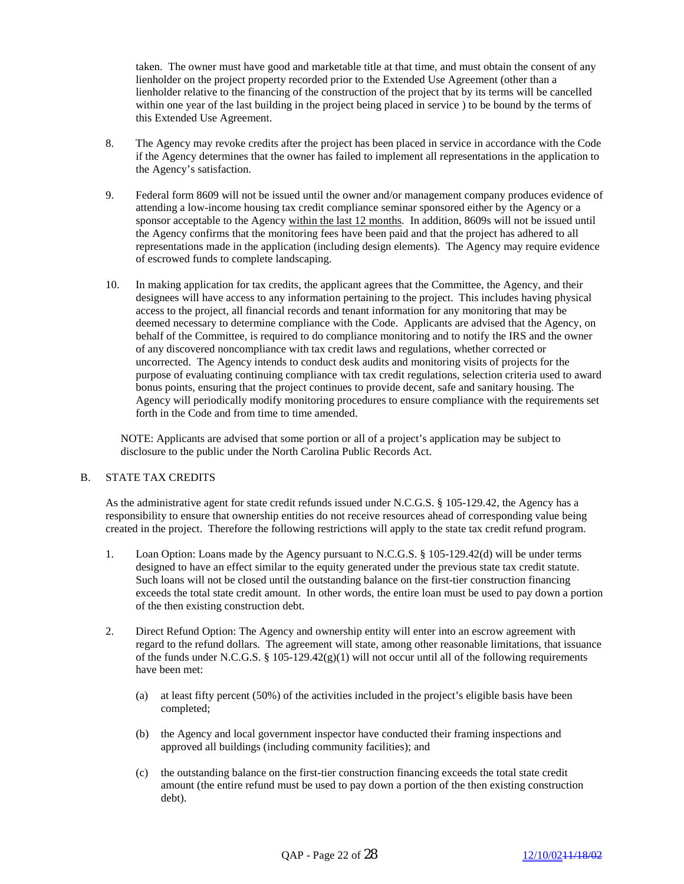taken. The owner must have good and marketable title at that time, and must obtain the consent of any lienholder on the project property recorded prior to the Extended Use Agreement (other than a lienholder relative to the financing of the construction of the project that by its terms will be cancelled within one year of the last building in the project being placed in service ) to be bound by the terms of this Extended Use Agreement.

- 8. The Agency may revoke credits after the project has been placed in service in accordance with the Code if the Agency determines that the owner has failed to implement all representations in the application to the Agency's satisfaction.
- 9. Federal form 8609 will not be issued until the owner and/or management company produces evidence of attending a low-income housing tax credit compliance seminar sponsored either by the Agency or a sponsor acceptable to the Agency within the last 12 months. In addition, 8609s will not be issued until the Agency confirms that the monitoring fees have been paid and that the project has adhered to all representations made in the application (including design elements). The Agency may require evidence of escrowed funds to complete landscaping.
- 10. In making application for tax credits, the applicant agrees that the Committee, the Agency, and their designees will have access to any information pertaining to the project. This includes having physical access to the project, all financial records and tenant information for any monitoring that may be deemed necessary to determine compliance with the Code. Applicants are advised that the Agency, on behalf of the Committee, is required to do compliance monitoring and to notify the IRS and the owner of any discovered noncompliance with tax credit laws and regulations, whether corrected or uncorrected. The Agency intends to conduct desk audits and monitoring visits of projects for the purpose of evaluating continuing compliance with tax credit regulations, selection criteria used to award bonus points, ensuring that the project continues to provide decent, safe and sanitary housing. The Agency will periodically modify monitoring procedures to ensure compliance with the requirements set forth in the Code and from time to time amended.

NOTE: Applicants are advised that some portion or all of a project's application may be subject to disclosure to the public under the North Carolina Public Records Act.

#### B. STATE TAX CREDITS

As the administrative agent for state credit refunds issued under N.C.G.S. § 105-129.42, the Agency has a responsibility to ensure that ownership entities do not receive resources ahead of corresponding value being created in the project. Therefore the following restrictions will apply to the state tax credit refund program.

- 1. Loan Option: Loans made by the Agency pursuant to N.C.G.S. § 105-129.42(d) will be under terms designed to have an effect similar to the equity generated under the previous state tax credit statute. Such loans will not be closed until the outstanding balance on the first-tier construction financing exceeds the total state credit amount. In other words, the entire loan must be used to pay down a portion of the then existing construction debt.
- 2. Direct Refund Option: The Agency and ownership entity will enter into an escrow agreement with regard to the refund dollars. The agreement will state, among other reasonable limitations, that issuance of the funds under N.C.G.S. § 105-129.42(g)(1) will not occur until all of the following requirements have been met:
	- (a) at least fifty percent (50%) of the activities included in the project's eligible basis have been completed;
	- (b) the Agency and local government inspector have conducted their framing inspections and approved all buildings (including community facilities); and
	- (c) the outstanding balance on the first-tier construction financing exceeds the total state credit amount (the entire refund must be used to pay down a portion of the then existing construction debt).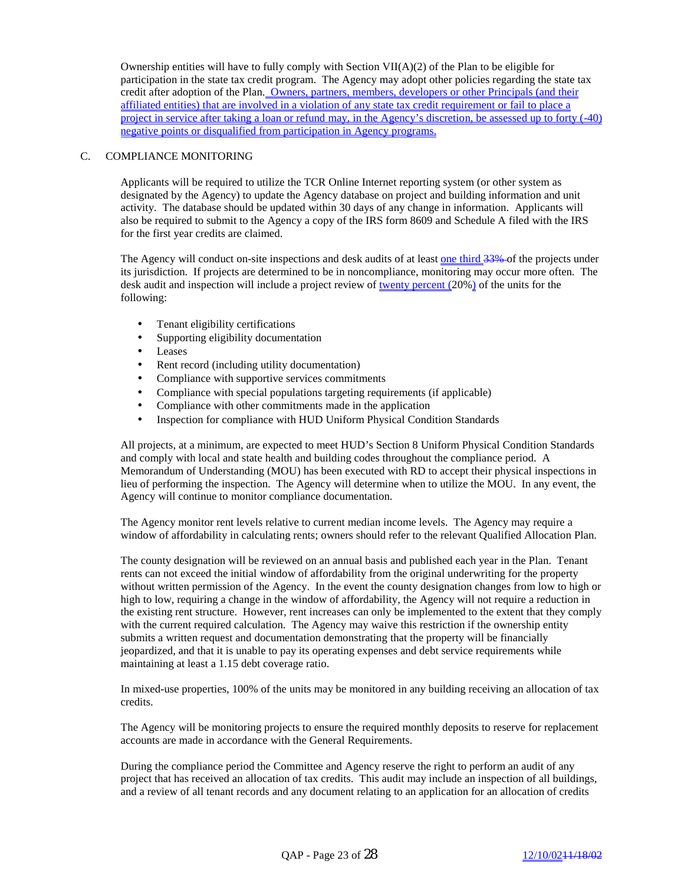Ownership entities will have to fully comply with Section  $VII(A)(2)$  of the Plan to be eligible for participation in the state tax credit program. The Agency may adopt other policies regarding the state tax credit after adoption of the Plan. Owners, partners, members, developers or other Principals (and their affiliated entities) that are involved in a violation of any state tax credit requirement or fail to place a project in service after taking a loan or refund may, in the Agency's discretion, be assessed up to forty (-40) negative points or disqualified from participation in Agency programs.

## C. COMPLIANCE MONITORING

Applicants will be required to utilize the TCR Online Internet reporting system (or other system as designated by the Agency) to update the Agency database on project and building information and unit activity. The database should be updated within 30 days of any change in information. Applicants will also be required to submit to the Agency a copy of the IRS form 8609 and Schedule A filed with the IRS for the first year credits are claimed.

The Agency will conduct on-site inspections and desk audits of at least one third 33% of the projects under its jurisdiction. If projects are determined to be in noncompliance, monitoring may occur more often. The desk audit and inspection will include a project review of twenty percent (20%) of the units for the following:

- Tenant eligibility certifications
- Supporting eligibility documentation
- Leases
- Rent record (including utility documentation)
- Compliance with supportive services commitments
- Compliance with special populations targeting requirements (if applicable)
- Compliance with other commitments made in the application
- Inspection for compliance with HUD Uniform Physical Condition Standards

All projects, at a minimum, are expected to meet HUD's Section 8 Uniform Physical Condition Standards and comply with local and state health and building codes throughout the compliance period. A Memorandum of Understanding (MOU) has been executed with RD to accept their physical inspections in lieu of performing the inspection. The Agency will determine when to utilize the MOU. In any event, the Agency will continue to monitor compliance documentation.

The Agency monitor rent levels relative to current median income levels. The Agency may require a window of affordability in calculating rents; owners should refer to the relevant Qualified Allocation Plan.

The county designation will be reviewed on an annual basis and published each year in the Plan. Tenant rents can not exceed the initial window of affordability from the original underwriting for the property without written permission of the Agency. In the event the county designation changes from low to high or high to low, requiring a change in the window of affordability, the Agency will not require a reduction in the existing rent structure. However, rent increases can only be implemented to the extent that they comply with the current required calculation. The Agency may waive this restriction if the ownership entity submits a written request and documentation demonstrating that the property will be financially jeopardized, and that it is unable to pay its operating expenses and debt service requirements while maintaining at least a 1.15 debt coverage ratio.

In mixed-use properties, 100% of the units may be monitored in any building receiving an allocation of tax credits.

The Agency will be monitoring projects to ensure the required monthly deposits to reserve for replacement accounts are made in accordance with the General Requirements.

During the compliance period the Committee and Agency reserve the right to perform an audit of any project that has received an allocation of tax credits. This audit may include an inspection of all buildings, and a review of all tenant records and any document relating to an application for an allocation of credits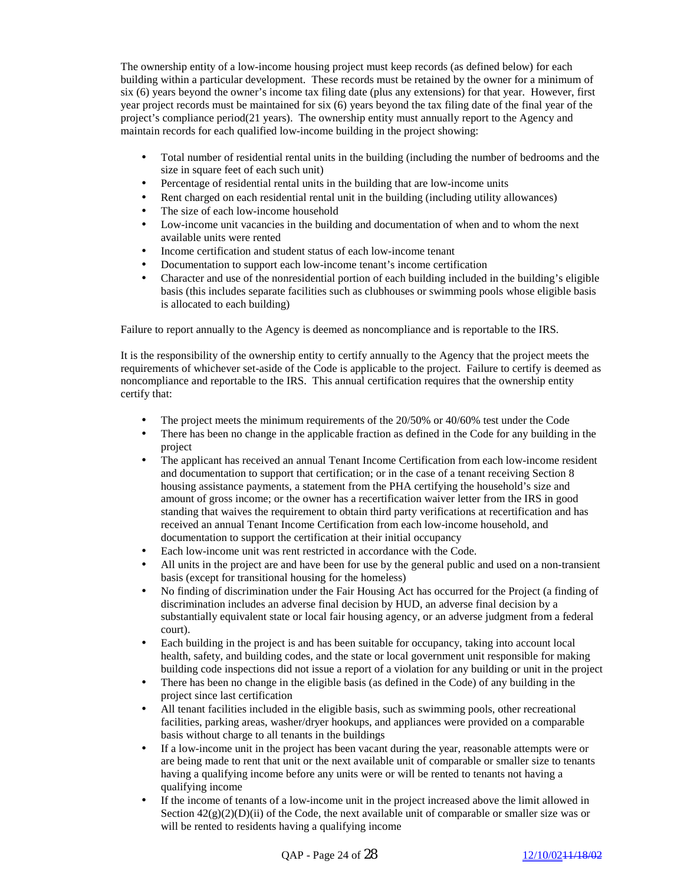The ownership entity of a low-income housing project must keep records (as defined below) for each building within a particular development. These records must be retained by the owner for a minimum of six (6) years beyond the owner's income tax filing date (plus any extensions) for that year. However, first year project records must be maintained for six (6) years beyond the tax filing date of the final year of the project's compliance period(21 years). The ownership entity must annually report to the Agency and maintain records for each qualified low-income building in the project showing:

- Total number of residential rental units in the building (including the number of bedrooms and the size in square feet of each such unit)
- Percentage of residential rental units in the building that are low-income units
- Rent charged on each residential rental unit in the building (including utility allowances)
- The size of each low-income household
- Low-income unit vacancies in the building and documentation of when and to whom the next available units were rented
- Income certification and student status of each low-income tenant
- Documentation to support each low-income tenant's income certification
- Character and use of the nonresidential portion of each building included in the building's eligible basis (this includes separate facilities such as clubhouses or swimming pools whose eligible basis is allocated to each building)

Failure to report annually to the Agency is deemed as noncompliance and is reportable to the IRS.

It is the responsibility of the ownership entity to certify annually to the Agency that the project meets the requirements of whichever set-aside of the Code is applicable to the project. Failure to certify is deemed as noncompliance and reportable to the IRS. This annual certification requires that the ownership entity certify that:

- The project meets the minimum requirements of the 20/50% or 40/60% test under the Code
- There has been no change in the applicable fraction as defined in the Code for any building in the project
- The applicant has received an annual Tenant Income Certification from each low-income resident and documentation to support that certification; or in the case of a tenant receiving Section 8 housing assistance payments, a statement from the PHA certifying the household's size and amount of gross income; or the owner has a recertification waiver letter from the IRS in good standing that waives the requirement to obtain third party verifications at recertification and has received an annual Tenant Income Certification from each low-income household, and documentation to support the certification at their initial occupancy
- Each low-income unit was rent restricted in accordance with the Code.
- All units in the project are and have been for use by the general public and used on a non-transient basis (except for transitional housing for the homeless)
- No finding of discrimination under the Fair Housing Act has occurred for the Project (a finding of discrimination includes an adverse final decision by HUD, an adverse final decision by a substantially equivalent state or local fair housing agency, or an adverse judgment from a federal court).
- Each building in the project is and has been suitable for occupancy, taking into account local health, safety, and building codes, and the state or local government unit responsible for making building code inspections did not issue a report of a violation for any building or unit in the project
- There has been no change in the eligible basis (as defined in the Code) of any building in the project since last certification
- All tenant facilities included in the eligible basis, such as swimming pools, other recreational facilities, parking areas, washer/dryer hookups, and appliances were provided on a comparable basis without charge to all tenants in the buildings
- If a low-income unit in the project has been vacant during the year, reasonable attempts were or are being made to rent that unit or the next available unit of comparable or smaller size to tenants having a qualifying income before any units were or will be rented to tenants not having a qualifying income
- If the income of tenants of a low-income unit in the project increased above the limit allowed in Section  $42(g)(2)(D)(ii)$  of the Code, the next available unit of comparable or smaller size was or will be rented to residents having a qualifying income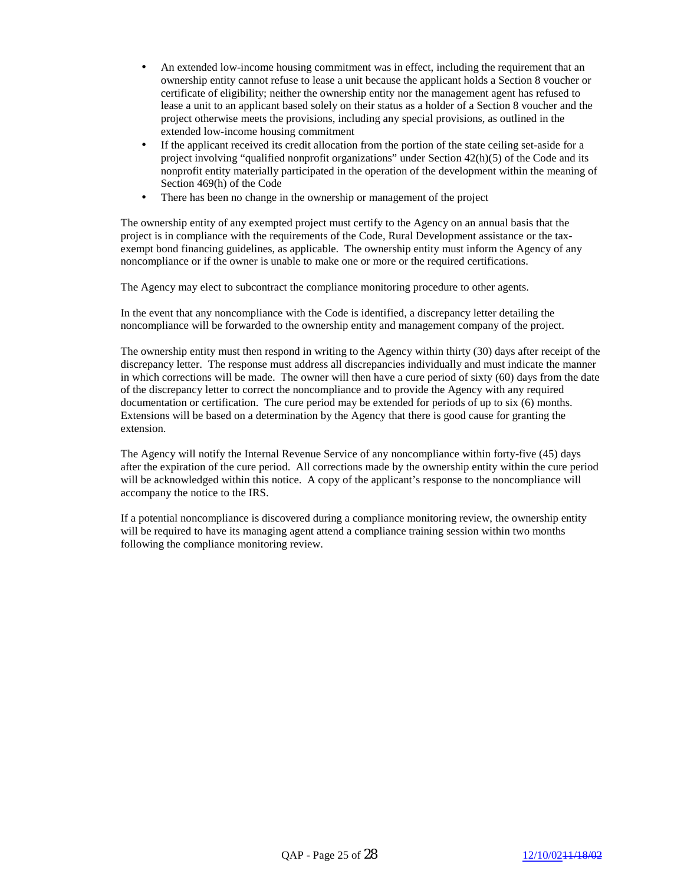- An extended low-income housing commitment was in effect, including the requirement that an ownership entity cannot refuse to lease a unit because the applicant holds a Section 8 voucher or certificate of eligibility; neither the ownership entity nor the management agent has refused to lease a unit to an applicant based solely on their status as a holder of a Section 8 voucher and the project otherwise meets the provisions, including any special provisions, as outlined in the extended low-income housing commitment
- If the applicant received its credit allocation from the portion of the state ceiling set-aside for a project involving "qualified nonprofit organizations" under Section 42(h)(5) of the Code and its nonprofit entity materially participated in the operation of the development within the meaning of Section 469(h) of the Code
- There has been no change in the ownership or management of the project

The ownership entity of any exempted project must certify to the Agency on an annual basis that the project is in compliance with the requirements of the Code, Rural Development assistance or the taxexempt bond financing guidelines, as applicable. The ownership entity must inform the Agency of any noncompliance or if the owner is unable to make one or more or the required certifications.

The Agency may elect to subcontract the compliance monitoring procedure to other agents.

In the event that any noncompliance with the Code is identified, a discrepancy letter detailing the noncompliance will be forwarded to the ownership entity and management company of the project.

The ownership entity must then respond in writing to the Agency within thirty (30) days after receipt of the discrepancy letter. The response must address all discrepancies individually and must indicate the manner in which corrections will be made. The owner will then have a cure period of sixty (60) days from the date of the discrepancy letter to correct the noncompliance and to provide the Agency with any required documentation or certification. The cure period may be extended for periods of up to six (6) months. Extensions will be based on a determination by the Agency that there is good cause for granting the extension.

The Agency will notify the Internal Revenue Service of any noncompliance within forty-five (45) days after the expiration of the cure period. All corrections made by the ownership entity within the cure period will be acknowledged within this notice. A copy of the applicant's response to the noncompliance will accompany the notice to the IRS.

If a potential noncompliance is discovered during a compliance monitoring review, the ownership entity will be required to have its managing agent attend a compliance training session within two months following the compliance monitoring review.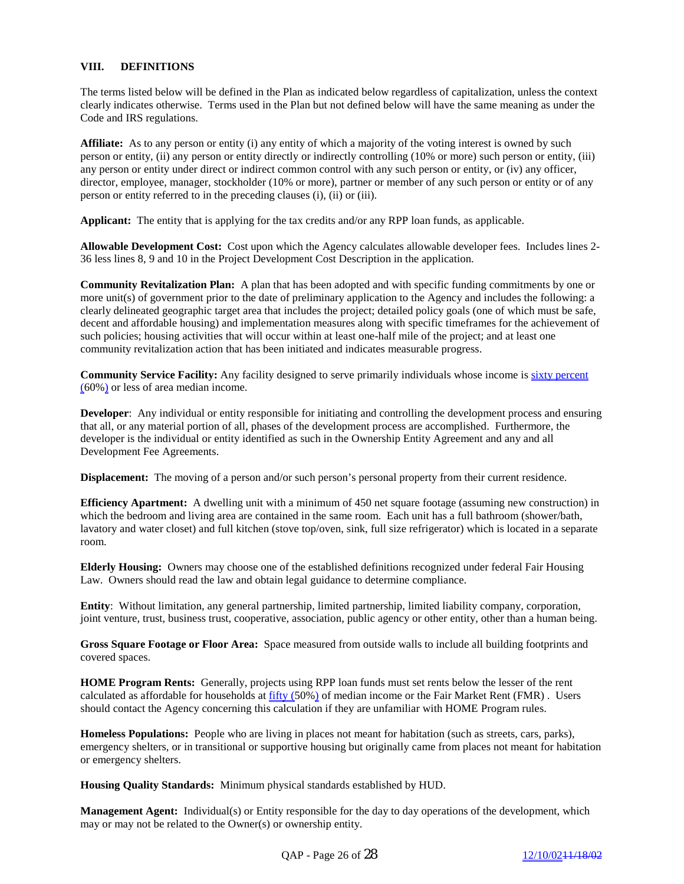## **VIII. DEFINITIONS**

The terms listed below will be defined in the Plan as indicated below regardless of capitalization, unless the context clearly indicates otherwise. Terms used in the Plan but not defined below will have the same meaning as under the Code and IRS regulations.

**Affiliate:** As to any person or entity (i) any entity of which a majority of the voting interest is owned by such person or entity, (ii) any person or entity directly or indirectly controlling (10% or more) such person or entity, (iii) any person or entity under direct or indirect common control with any such person or entity, or (iv) any officer, director, employee, manager, stockholder (10% or more), partner or member of any such person or entity or of any person or entity referred to in the preceding clauses (i), (ii) or (iii).

**Applicant:** The entity that is applying for the tax credits and/or any RPP loan funds, as applicable.

**Allowable Development Cost:** Cost upon which the Agency calculates allowable developer fees. Includes lines 2- 36 less lines 8, 9 and 10 in the Project Development Cost Description in the application.

**Community Revitalization Plan:** A plan that has been adopted and with specific funding commitments by one or more unit(s) of government prior to the date of preliminary application to the Agency and includes the following: a clearly delineated geographic target area that includes the project; detailed policy goals (one of which must be safe, decent and affordable housing) and implementation measures along with specific timeframes for the achievement of such policies; housing activities that will occur within at least one-half mile of the project; and at least one community revitalization action that has been initiated and indicates measurable progress.

**Community Service Facility:** Any facility designed to serve primarily individuals whose income is sixty percent (60%) or less of area median income.

**Developer**: Any individual or entity responsible for initiating and controlling the development process and ensuring that all, or any material portion of all, phases of the development process are accomplished. Furthermore, the developer is the individual or entity identified as such in the Ownership Entity Agreement and any and all Development Fee Agreements.

**Displacement:** The moving of a person and/or such person's personal property from their current residence.

**Efficiency Apartment:** A dwelling unit with a minimum of 450 net square footage (assuming new construction) in which the bedroom and living area are contained in the same room. Each unit has a full bathroom (shower/bath, lavatory and water closet) and full kitchen (stove top/oven, sink, full size refrigerator) which is located in a separate room.

**Elderly Housing:** Owners may choose one of the established definitions recognized under federal Fair Housing Law. Owners should read the law and obtain legal guidance to determine compliance.

**Entity**: Without limitation, any general partnership, limited partnership, limited liability company, corporation, joint venture, trust, business trust, cooperative, association, public agency or other entity, other than a human being.

**Gross Square Footage or Floor Area:** Space measured from outside walls to include all building footprints and covered spaces.

**HOME Program Rents:** Generally, projects using RPP loan funds must set rents below the lesser of the rent calculated as affordable for households at fifty (50%) of median income or the Fair Market Rent (FMR). Users should contact the Agency concerning this calculation if they are unfamiliar with HOME Program rules.

**Homeless Populations:** People who are living in places not meant for habitation (such as streets, cars, parks), emergency shelters, or in transitional or supportive housing but originally came from places not meant for habitation or emergency shelters.

**Housing Quality Standards:** Minimum physical standards established by HUD.

**Management Agent:** Individual(s) or Entity responsible for the day to day operations of the development, which may or may not be related to the Owner(s) or ownership entity.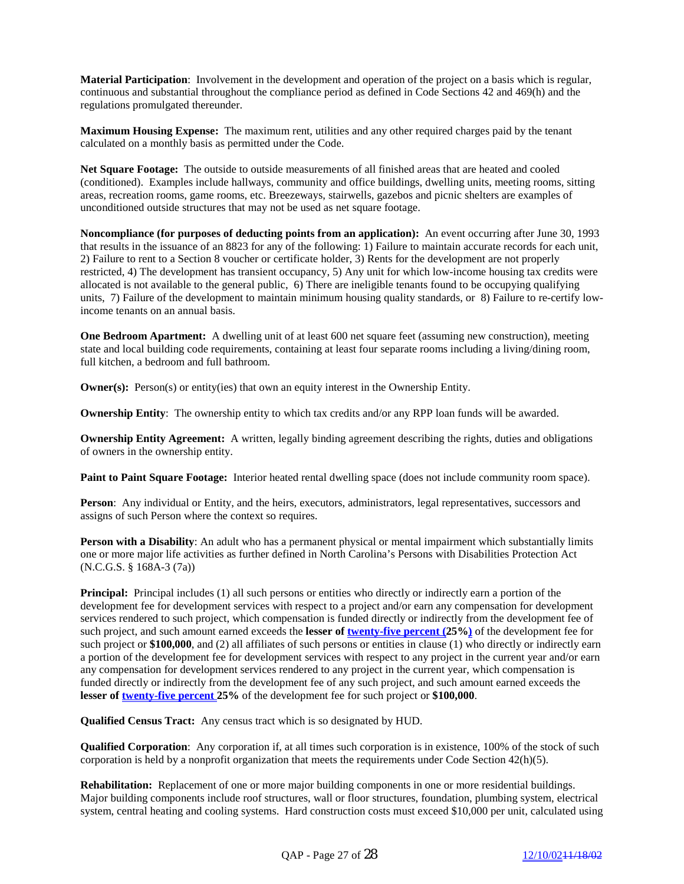**Material Participation**: Involvement in the development and operation of the project on a basis which is regular, continuous and substantial throughout the compliance period as defined in Code Sections 42 and 469(h) and the regulations promulgated thereunder.

**Maximum Housing Expense:** The maximum rent, utilities and any other required charges paid by the tenant calculated on a monthly basis as permitted under the Code.

**Net Square Footage:** The outside to outside measurements of all finished areas that are heated and cooled (conditioned). Examples include hallways, community and office buildings, dwelling units, meeting rooms, sitting areas, recreation rooms, game rooms, etc. Breezeways, stairwells, gazebos and picnic shelters are examples of unconditioned outside structures that may not be used as net square footage.

**Noncompliance (for purposes of deducting points from an application):** An event occurring after June 30, 1993 that results in the issuance of an 8823 for any of the following: 1) Failure to maintain accurate records for each unit, 2) Failure to rent to a Section 8 voucher or certificate holder, 3) Rents for the development are not properly restricted, 4) The development has transient occupancy, 5) Any unit for which low-income housing tax credits were allocated is not available to the general public, 6) There are ineligible tenants found to be occupying qualifying units, 7) Failure of the development to maintain minimum housing quality standards, or 8) Failure to re-certify lowincome tenants on an annual basis.

**One Bedroom Apartment:** A dwelling unit of at least 600 net square feet (assuming new construction), meeting state and local building code requirements, containing at least four separate rooms including a living/dining room, full kitchen, a bedroom and full bathroom.

**Owner(s):** Person(s) or entity(ies) that own an equity interest in the Ownership Entity.

**Ownership Entity**: The ownership entity to which tax credits and/or any RPP loan funds will be awarded.

**Ownership Entity Agreement:** A written, legally binding agreement describing the rights, duties and obligations of owners in the ownership entity.

**Paint to Paint Square Footage:** Interior heated rental dwelling space (does not include community room space).

**Person**: Any individual or Entity, and the heirs, executors, administrators, legal representatives, successors and assigns of such Person where the context so requires.

**Person with a Disability**: An adult who has a permanent physical or mental impairment which substantially limits one or more major life activities as further defined in North Carolina's Persons with Disabilities Protection Act (N.C.G.S. § 168A-3 (7a))

**Principal:** Principal includes (1) all such persons or entities who directly or indirectly earn a portion of the development fee for development services with respect to a project and/or earn any compensation for development services rendered to such project, which compensation is funded directly or indirectly from the development fee of such project, and such amount earned exceeds the lesser of **twenty-five percent (25%)** of the development fee for such project or **\$100,000**, and (2) all affiliates of such persons or entities in clause (1) who directly or indirectly earn a portion of the development fee for development services with respect to any project in the current year and/or earn any compensation for development services rendered to any project in the current year, which compensation is funded directly or indirectly from the development fee of any such project, and such amount earned exceeds the **lesser of twenty-five percent 25%** of the development fee for such project or **\$100,000**.

**Qualified Census Tract:** Any census tract which is so designated by HUD.

**Qualified Corporation**: Any corporation if, at all times such corporation is in existence, 100% of the stock of such corporation is held by a nonprofit organization that meets the requirements under Code Section 42(h)(5).

**Rehabilitation:** Replacement of one or more major building components in one or more residential buildings. Major building components include roof structures, wall or floor structures, foundation, plumbing system, electrical system, central heating and cooling systems. Hard construction costs must exceed \$10,000 per unit, calculated using